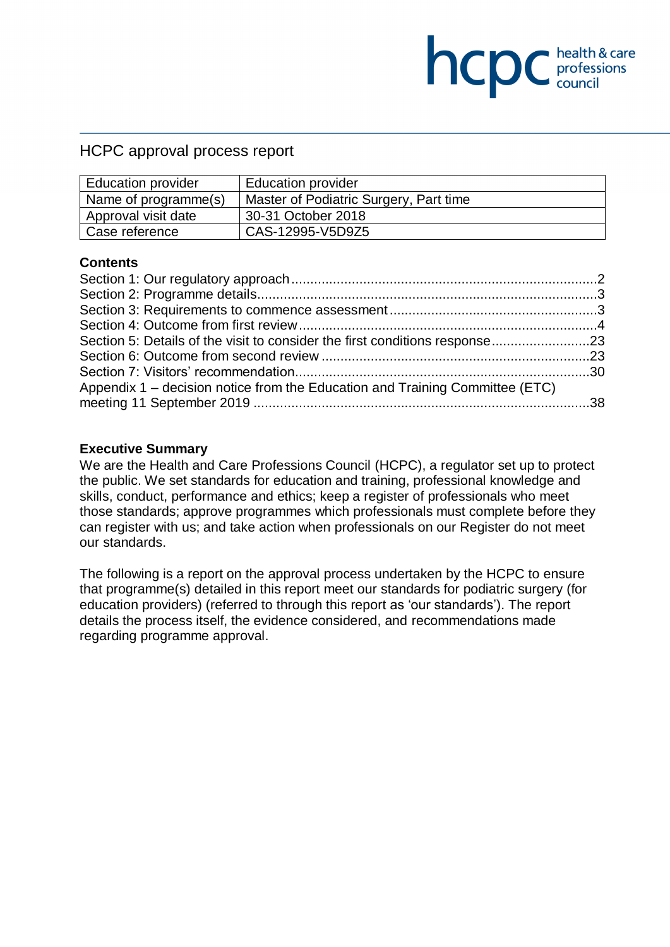# HCPC approval process report

| <b>Education provider</b> | <b>Education provider</b>              |
|---------------------------|----------------------------------------|
| Name of programme(s)      | Master of Podiatric Surgery, Part time |
| Approval visit date       | 30-31 October 2018                     |
| Case reference            | CAS-12995-V5D9Z5                       |

**NCDC** health & care

#### **Contents**

| Section 5: Details of the visit to consider the first conditions response23 |
|-----------------------------------------------------------------------------|
|                                                                             |
|                                                                             |
|                                                                             |
|                                                                             |
|                                                                             |

## **Executive Summary**

We are the Health and Care Professions Council (HCPC), a regulator set up to protect the public. We set standards for education and training, professional knowledge and skills, conduct, performance and ethics; keep a register of professionals who meet those standards; approve programmes which professionals must complete before they can register with us; and take action when professionals on our Register do not meet our standards.

The following is a report on the approval process undertaken by the HCPC to ensure that programme(s) detailed in this report meet our standards for podiatric surgery (for education providers) (referred to through this report as 'our standards'). The report details the process itself, the evidence considered, and recommendations made regarding programme approval.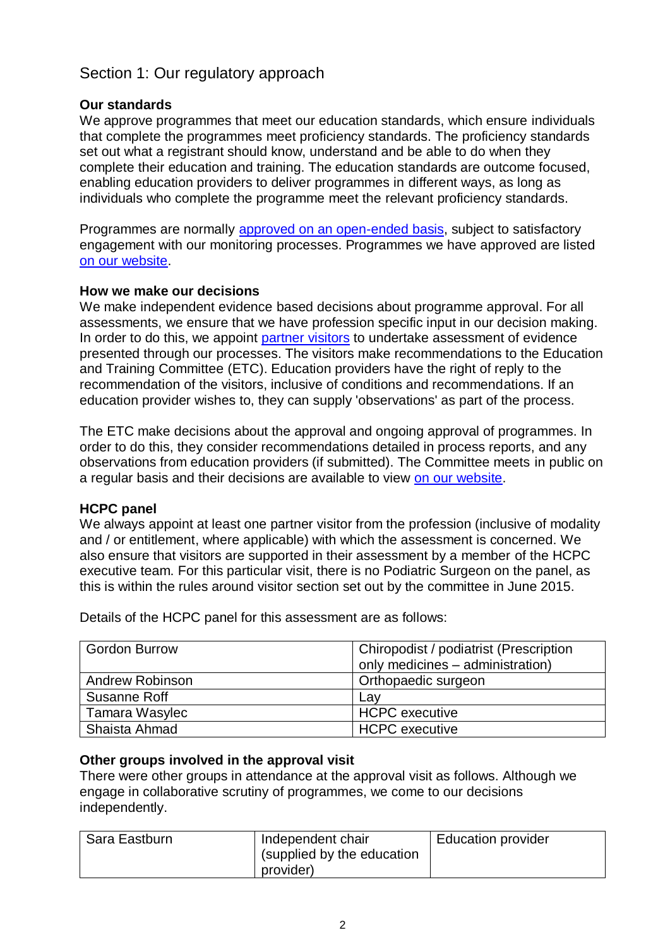# <span id="page-1-0"></span>Section 1: Our regulatory approach

## **Our standards**

We approve programmes that meet our education standards, which ensure individuals that complete the programmes meet proficiency standards. The proficiency standards set out what a registrant should know, understand and be able to do when they complete their education and training. The education standards are outcome focused, enabling education providers to deliver programmes in different ways, as long as individuals who complete the programme meet the relevant proficiency standards.

Programmes are normally [approved on an open-ended](http://www.hcpc-uk.org/education/processes/) basis, subject to satisfactory engagement with our monitoring processes. Programmes we have approved are listed [on our website.](http://www.hcpc-uk.org/education/programmes/register/)

## **How we make our decisions**

We make independent evidence based decisions about programme approval. For all assessments, we ensure that we have profession specific input in our decision making. In order to do this, we appoint [partner visitors](http://www.hcpc-uk.org/aboutus/partners/) to undertake assessment of evidence presented through our processes. The visitors make recommendations to the Education and Training Committee (ETC). Education providers have the right of reply to the recommendation of the visitors, inclusive of conditions and recommendations. If an education provider wishes to, they can supply 'observations' as part of the process.

The ETC make decisions about the approval and ongoing approval of programmes. In order to do this, they consider recommendations detailed in process reports, and any observations from education providers (if submitted). The Committee meets in public on a regular basis and their decisions are available to view [on our website.](http://www.hcpc-uk.org/aboutus/committees/educationandtrainingpanel/)

## **HCPC panel**

We always appoint at least one partner visitor from the profession (inclusive of modality and / or entitlement, where applicable) with which the assessment is concerned. We also ensure that visitors are supported in their assessment by a member of the HCPC executive team. For this particular visit, there is no Podiatric Surgeon on the panel, as this is within the rules around visitor section set out by the committee in June 2015.

| <b>Gordon Burrow</b>   | Chiropodist / podiatrist (Prescription<br>only medicines - administration) |
|------------------------|----------------------------------------------------------------------------|
| <b>Andrew Robinson</b> | Orthopaedic surgeon                                                        |
| Susanne Roff           | Lav                                                                        |
| Tamara Wasylec         | <b>HCPC</b> executive                                                      |
| Shaista Ahmad          | <b>HCPC</b> executive                                                      |

Details of the HCPC panel for this assessment are as follows:

## **Other groups involved in the approval visit**

There were other groups in attendance at the approval visit as follows. Although we engage in collaborative scrutiny of programmes, we come to our decisions independently.

| Sara Eastburn | Independent chair<br>(supplied by the education<br>provider) | <b>Education provider</b> |
|---------------|--------------------------------------------------------------|---------------------------|
|               |                                                              |                           |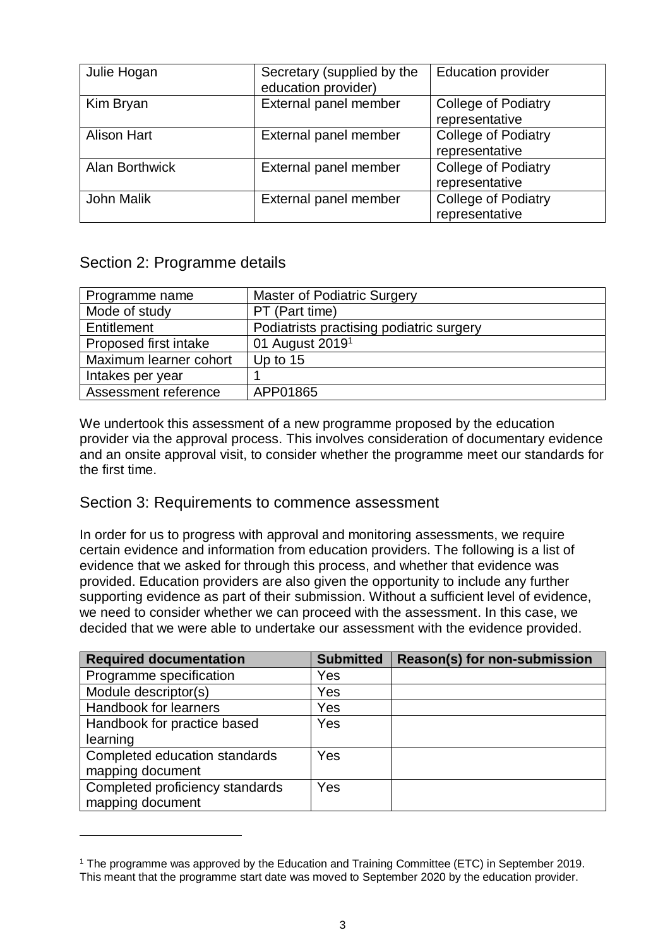| Julie Hogan           | Secretary (supplied by the<br>education provider) | <b>Education provider</b>                    |
|-----------------------|---------------------------------------------------|----------------------------------------------|
| Kim Bryan             | External panel member                             | College of Podiatry<br>representative        |
| <b>Alison Hart</b>    | External panel member                             | <b>College of Podiatry</b><br>representative |
| <b>Alan Borthwick</b> | External panel member                             | <b>College of Podiatry</b><br>representative |
| John Malik            | External panel member                             | <b>College of Podiatry</b><br>representative |

# <span id="page-2-0"></span>Section 2: Programme details

1

| Programme name         | <b>Master of Podiatric Surgery</b>       |
|------------------------|------------------------------------------|
| Mode of study          | PT (Part time)                           |
| Entitlement            | Podiatrists practising podiatric surgery |
| Proposed first intake  | 01 August 2019 <sup>1</sup>              |
| Maximum learner cohort | Up to 15                                 |
| Intakes per year       |                                          |
| Assessment reference   | APP01865                                 |

We undertook this assessment of a new programme proposed by the education provider via the approval process. This involves consideration of documentary evidence and an onsite approval visit, to consider whether the programme meet our standards for the first time.

# <span id="page-2-1"></span>Section 3: Requirements to commence assessment

In order for us to progress with approval and monitoring assessments, we require certain evidence and information from education providers. The following is a list of evidence that we asked for through this process, and whether that evidence was provided. Education providers are also given the opportunity to include any further supporting evidence as part of their submission. Without a sufficient level of evidence, we need to consider whether we can proceed with the assessment. In this case, we decided that we were able to undertake our assessment with the evidence provided.

| <b>Required documentation</b>   | <b>Submitted</b> | Reason(s) for non-submission |
|---------------------------------|------------------|------------------------------|
| Programme specification         | Yes              |                              |
| Module descriptor(s)            | Yes              |                              |
| Handbook for learners           | Yes              |                              |
| Handbook for practice based     | Yes              |                              |
| learning                        |                  |                              |
| Completed education standards   | Yes              |                              |
| mapping document                |                  |                              |
| Completed proficiency standards | <b>Yes</b>       |                              |
| mapping document                |                  |                              |

<sup>&</sup>lt;sup>1</sup> The programme was approved by the Education and Training Committee (ETC) in September 2019. This meant that the programme start date was moved to September 2020 by the education provider.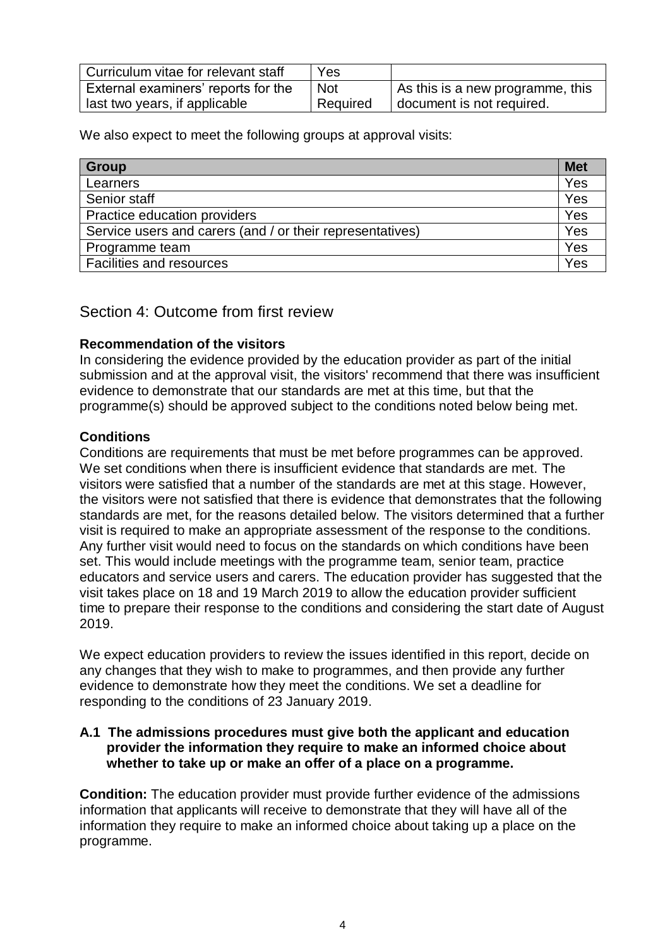| Curriculum vitae for relevant staff | Yes        |                                  |
|-------------------------------------|------------|----------------------------------|
| External examiners' reports for the | <b>Not</b> | As this is a new programme, this |
| last two years, if applicable       | Required   | document is not required.        |

We also expect to meet the following groups at approval visits:

| Group                                                     | <b>Met</b> |
|-----------------------------------------------------------|------------|
| Learners                                                  | Yes        |
| Senior staff                                              | Yes        |
| Practice education providers                              | Yes        |
| Service users and carers (and / or their representatives) | Yes        |
| Programme team                                            | Yes        |
| Facilities and resources                                  | Yes        |

## <span id="page-3-0"></span>Section 4: Outcome from first review

## **Recommendation of the visitors**

In considering the evidence provided by the education provider as part of the initial submission and at the approval visit, the visitors' recommend that there was insufficient evidence to demonstrate that our standards are met at this time, but that the programme(s) should be approved subject to the conditions noted below being met.

## **Conditions**

Conditions are requirements that must be met before programmes can be approved. We set conditions when there is insufficient evidence that standards are met. The visitors were satisfied that a number of the standards are met at this stage. However, the visitors were not satisfied that there is evidence that demonstrates that the following standards are met, for the reasons detailed below. The visitors determined that a further visit is required to make an appropriate assessment of the response to the conditions. Any further visit would need to focus on the standards on which conditions have been set. This would include meetings with the programme team, senior team, practice educators and service users and carers. The education provider has suggested that the visit takes place on 18 and 19 March 2019 to allow the education provider sufficient time to prepare their response to the conditions and considering the start date of August 2019.

We expect education providers to review the issues identified in this report, decide on any changes that they wish to make to programmes, and then provide any further evidence to demonstrate how they meet the conditions. We set a deadline for responding to the conditions of 23 January 2019.

## **A.1 The admissions procedures must give both the applicant and education provider the information they require to make an informed choice about whether to take up or make an offer of a place on a programme.**

**Condition:** The education provider must provide further evidence of the admissions information that applicants will receive to demonstrate that they will have all of the information they require to make an informed choice about taking up a place on the programme.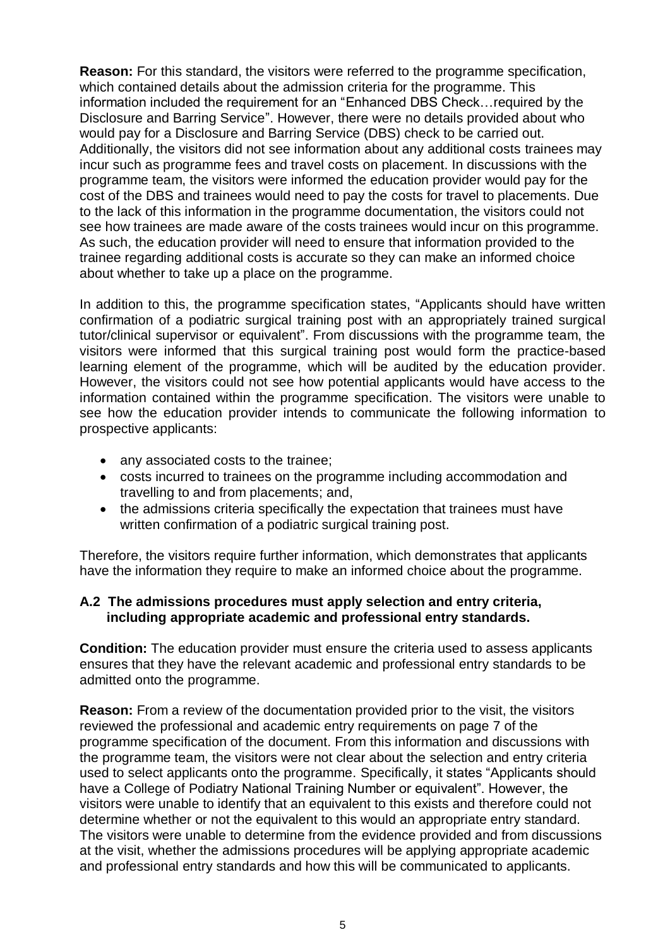**Reason:** For this standard, the visitors were referred to the programme specification, which contained details about the admission criteria for the programme. This information included the requirement for an "Enhanced DBS Check…required by the Disclosure and Barring Service". However, there were no details provided about who would pay for a Disclosure and Barring Service (DBS) check to be carried out. Additionally, the visitors did not see information about any additional costs trainees may incur such as programme fees and travel costs on placement. In discussions with the programme team, the visitors were informed the education provider would pay for the cost of the DBS and trainees would need to pay the costs for travel to placements. Due to the lack of this information in the programme documentation, the visitors could not see how trainees are made aware of the costs trainees would incur on this programme. As such, the education provider will need to ensure that information provided to the trainee regarding additional costs is accurate so they can make an informed choice about whether to take up a place on the programme.

In addition to this, the programme specification states, "Applicants should have written confirmation of a podiatric surgical training post with an appropriately trained surgical tutor/clinical supervisor or equivalent". From discussions with the programme team, the visitors were informed that this surgical training post would form the practice-based learning element of the programme, which will be audited by the education provider. However, the visitors could not see how potential applicants would have access to the information contained within the programme specification. The visitors were unable to see how the education provider intends to communicate the following information to prospective applicants:

- any associated costs to the trainee;
- costs incurred to trainees on the programme including accommodation and travelling to and from placements; and,
- the admissions criteria specifically the expectation that trainees must have written confirmation of a podiatric surgical training post.

Therefore, the visitors require further information, which demonstrates that applicants have the information they require to make an informed choice about the programme.

## **A.2 The admissions procedures must apply selection and entry criteria, including appropriate academic and professional entry standards.**

**Condition:** The education provider must ensure the criteria used to assess applicants ensures that they have the relevant academic and professional entry standards to be admitted onto the programme.

**Reason:** From a review of the documentation provided prior to the visit, the visitors reviewed the professional and academic entry requirements on page 7 of the programme specification of the document. From this information and discussions with the programme team, the visitors were not clear about the selection and entry criteria used to select applicants onto the programme. Specifically, it states "Applicants should have a College of Podiatry National Training Number or equivalent". However, the visitors were unable to identify that an equivalent to this exists and therefore could not determine whether or not the equivalent to this would an appropriate entry standard. The visitors were unable to determine from the evidence provided and from discussions at the visit, whether the admissions procedures will be applying appropriate academic and professional entry standards and how this will be communicated to applicants.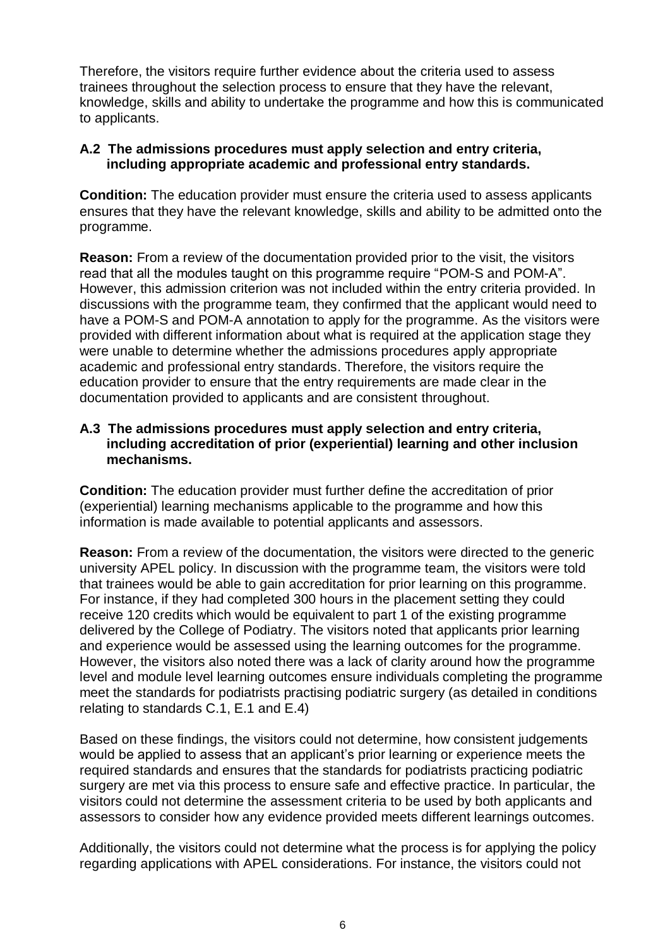Therefore, the visitors require further evidence about the criteria used to assess trainees throughout the selection process to ensure that they have the relevant, knowledge, skills and ability to undertake the programme and how this is communicated to applicants.

## **A.2 The admissions procedures must apply selection and entry criteria, including appropriate academic and professional entry standards.**

**Condition:** The education provider must ensure the criteria used to assess applicants ensures that they have the relevant knowledge, skills and ability to be admitted onto the programme.

**Reason:** From a review of the documentation provided prior to the visit, the visitors read that all the modules taught on this programme require "POM-S and POM-A". However, this admission criterion was not included within the entry criteria provided. In discussions with the programme team, they confirmed that the applicant would need to have a POM-S and POM-A annotation to apply for the programme. As the visitors were provided with different information about what is required at the application stage they were unable to determine whether the admissions procedures apply appropriate academic and professional entry standards. Therefore, the visitors require the education provider to ensure that the entry requirements are made clear in the documentation provided to applicants and are consistent throughout.

## **A.3 The admissions procedures must apply selection and entry criteria, including accreditation of prior (experiential) learning and other inclusion mechanisms.**

**Condition:** The education provider must further define the accreditation of prior (experiential) learning mechanisms applicable to the programme and how this information is made available to potential applicants and assessors.

**Reason:** From a review of the documentation, the visitors were directed to the generic university APEL policy. In discussion with the programme team, the visitors were told that trainees would be able to gain accreditation for prior learning on this programme. For instance, if they had completed 300 hours in the placement setting they could receive 120 credits which would be equivalent to part 1 of the existing programme delivered by the College of Podiatry. The visitors noted that applicants prior learning and experience would be assessed using the learning outcomes for the programme. However, the visitors also noted there was a lack of clarity around how the programme level and module level learning outcomes ensure individuals completing the programme meet the standards for podiatrists practising podiatric surgery (as detailed in conditions relating to standards C.1, E.1 and E.4)

Based on these findings, the visitors could not determine, how consistent judgements would be applied to assess that an applicant's prior learning or experience meets the required standards and ensures that the standards for podiatrists practicing podiatric surgery are met via this process to ensure safe and effective practice. In particular, the visitors could not determine the assessment criteria to be used by both applicants and assessors to consider how any evidence provided meets different learnings outcomes.

Additionally, the visitors could not determine what the process is for applying the policy regarding applications with APEL considerations. For instance, the visitors could not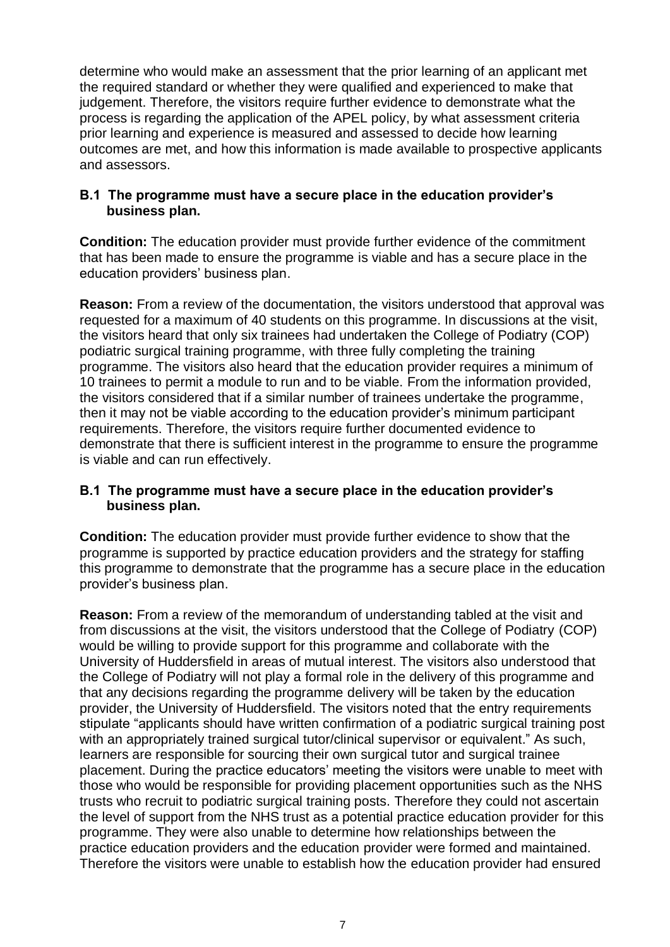determine who would make an assessment that the prior learning of an applicant met the required standard or whether they were qualified and experienced to make that judgement. Therefore, the visitors require further evidence to demonstrate what the process is regarding the application of the APEL policy, by what assessment criteria prior learning and experience is measured and assessed to decide how learning outcomes are met, and how this information is made available to prospective applicants and assessors.

## **B.1 The programme must have a secure place in the education provider's business plan.**

**Condition:** The education provider must provide further evidence of the commitment that has been made to ensure the programme is viable and has a secure place in the education providers' business plan.

**Reason:** From a review of the documentation, the visitors understood that approval was requested for a maximum of 40 students on this programme. In discussions at the visit, the visitors heard that only six trainees had undertaken the College of Podiatry (COP) podiatric surgical training programme, with three fully completing the training programme. The visitors also heard that the education provider requires a minimum of 10 trainees to permit a module to run and to be viable. From the information provided, the visitors considered that if a similar number of trainees undertake the programme, then it may not be viable according to the education provider's minimum participant requirements. Therefore, the visitors require further documented evidence to demonstrate that there is sufficient interest in the programme to ensure the programme is viable and can run effectively.

## **B.1 The programme must have a secure place in the education provider's business plan.**

**Condition:** The education provider must provide further evidence to show that the programme is supported by practice education providers and the strategy for staffing this programme to demonstrate that the programme has a secure place in the education provider's business plan.

**Reason:** From a review of the memorandum of understanding tabled at the visit and from discussions at the visit, the visitors understood that the College of Podiatry (COP) would be willing to provide support for this programme and collaborate with the University of Huddersfield in areas of mutual interest. The visitors also understood that the College of Podiatry will not play a formal role in the delivery of this programme and that any decisions regarding the programme delivery will be taken by the education provider, the University of Huddersfield. The visitors noted that the entry requirements stipulate "applicants should have written confirmation of a podiatric surgical training post with an appropriately trained surgical tutor/clinical supervisor or equivalent." As such, learners are responsible for sourcing their own surgical tutor and surgical trainee placement. During the practice educators' meeting the visitors were unable to meet with those who would be responsible for providing placement opportunities such as the NHS trusts who recruit to podiatric surgical training posts. Therefore they could not ascertain the level of support from the NHS trust as a potential practice education provider for this programme. They were also unable to determine how relationships between the practice education providers and the education provider were formed and maintained. Therefore the visitors were unable to establish how the education provider had ensured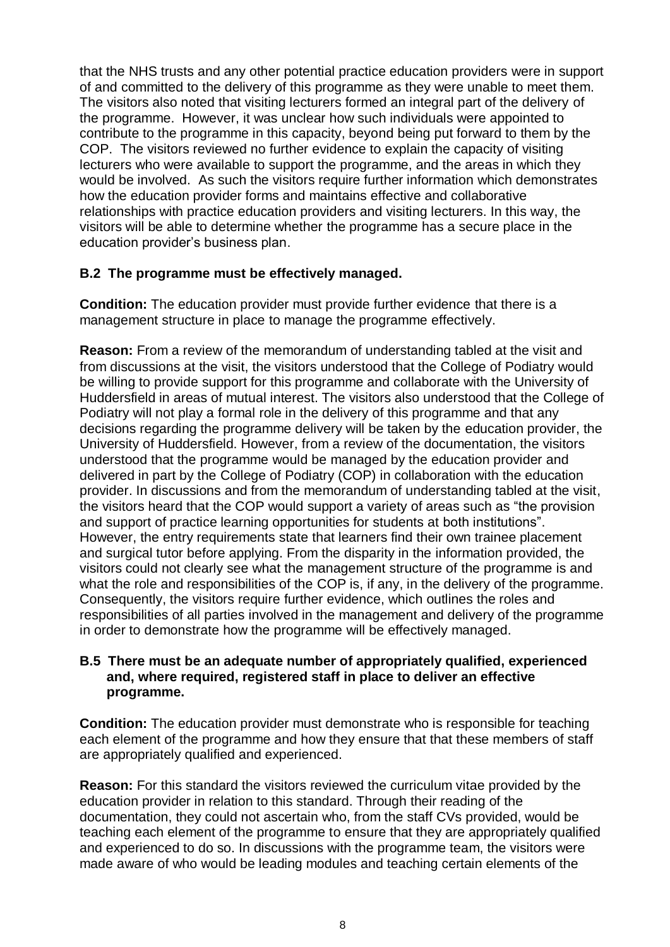that the NHS trusts and any other potential practice education providers were in support of and committed to the delivery of this programme as they were unable to meet them. The visitors also noted that visiting lecturers formed an integral part of the delivery of the programme. However, it was unclear how such individuals were appointed to contribute to the programme in this capacity, beyond being put forward to them by the COP. The visitors reviewed no further evidence to explain the capacity of visiting lecturers who were available to support the programme, and the areas in which they would be involved. As such the visitors require further information which demonstrates how the education provider forms and maintains effective and collaborative relationships with practice education providers and visiting lecturers. In this way, the visitors will be able to determine whether the programme has a secure place in the education provider's business plan.

## **B.2 The programme must be effectively managed.**

**Condition:** The education provider must provide further evidence that there is a management structure in place to manage the programme effectively.

**Reason:** From a review of the memorandum of understanding tabled at the visit and from discussions at the visit, the visitors understood that the College of Podiatry would be willing to provide support for this programme and collaborate with the University of Huddersfield in areas of mutual interest. The visitors also understood that the College of Podiatry will not play a formal role in the delivery of this programme and that any decisions regarding the programme delivery will be taken by the education provider, the University of Huddersfield. However, from a review of the documentation, the visitors understood that the programme would be managed by the education provider and delivered in part by the College of Podiatry (COP) in collaboration with the education provider. In discussions and from the memorandum of understanding tabled at the visit, the visitors heard that the COP would support a variety of areas such as "the provision and support of practice learning opportunities for students at both institutions". However, the entry requirements state that learners find their own trainee placement and surgical tutor before applying. From the disparity in the information provided, the visitors could not clearly see what the management structure of the programme is and what the role and responsibilities of the COP is, if any, in the delivery of the programme. Consequently, the visitors require further evidence, which outlines the roles and responsibilities of all parties involved in the management and delivery of the programme in order to demonstrate how the programme will be effectively managed.

## **B.5 There must be an adequate number of appropriately qualified, experienced and, where required, registered staff in place to deliver an effective programme.**

**Condition:** The education provider must demonstrate who is responsible for teaching each element of the programme and how they ensure that that these members of staff are appropriately qualified and experienced.

**Reason:** For this standard the visitors reviewed the curriculum vitae provided by the education provider in relation to this standard. Through their reading of the documentation, they could not ascertain who, from the staff CVs provided, would be teaching each element of the programme to ensure that they are appropriately qualified and experienced to do so. In discussions with the programme team, the visitors were made aware of who would be leading modules and teaching certain elements of the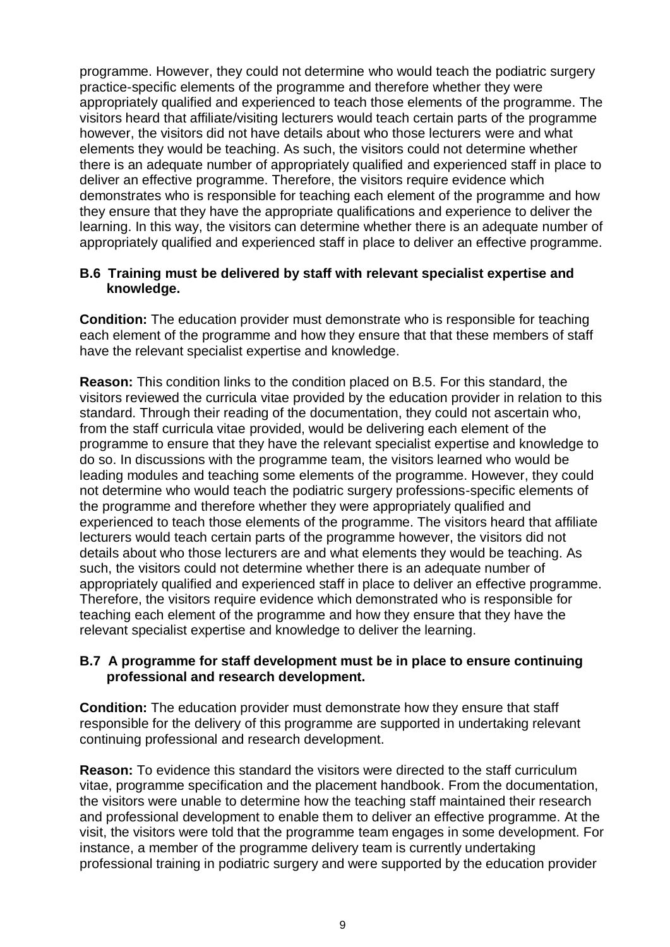programme. However, they could not determine who would teach the podiatric surgery practice-specific elements of the programme and therefore whether they were appropriately qualified and experienced to teach those elements of the programme. The visitors heard that affiliate/visiting lecturers would teach certain parts of the programme however, the visitors did not have details about who those lecturers were and what elements they would be teaching. As such, the visitors could not determine whether there is an adequate number of appropriately qualified and experienced staff in place to deliver an effective programme. Therefore, the visitors require evidence which demonstrates who is responsible for teaching each element of the programme and how they ensure that they have the appropriate qualifications and experience to deliver the learning. In this way, the visitors can determine whether there is an adequate number of appropriately qualified and experienced staff in place to deliver an effective programme.

## **B.6 Training must be delivered by staff with relevant specialist expertise and knowledge.**

**Condition:** The education provider must demonstrate who is responsible for teaching each element of the programme and how they ensure that that these members of staff have the relevant specialist expertise and knowledge.

**Reason:** This condition links to the condition placed on B.5. For this standard, the visitors reviewed the curricula vitae provided by the education provider in relation to this standard. Through their reading of the documentation, they could not ascertain who, from the staff curricula vitae provided, would be delivering each element of the programme to ensure that they have the relevant specialist expertise and knowledge to do so. In discussions with the programme team, the visitors learned who would be leading modules and teaching some elements of the programme. However, they could not determine who would teach the podiatric surgery professions-specific elements of the programme and therefore whether they were appropriately qualified and experienced to teach those elements of the programme. The visitors heard that affiliate lecturers would teach certain parts of the programme however, the visitors did not details about who those lecturers are and what elements they would be teaching. As such, the visitors could not determine whether there is an adequate number of appropriately qualified and experienced staff in place to deliver an effective programme. Therefore, the visitors require evidence which demonstrated who is responsible for teaching each element of the programme and how they ensure that they have the relevant specialist expertise and knowledge to deliver the learning.

## **B.7 A programme for staff development must be in place to ensure continuing professional and research development.**

**Condition:** The education provider must demonstrate how they ensure that staff responsible for the delivery of this programme are supported in undertaking relevant continuing professional and research development.

**Reason:** To evidence this standard the visitors were directed to the staff curriculum vitae, programme specification and the placement handbook. From the documentation, the visitors were unable to determine how the teaching staff maintained their research and professional development to enable them to deliver an effective programme. At the visit, the visitors were told that the programme team engages in some development. For instance, a member of the programme delivery team is currently undertaking professional training in podiatric surgery and were supported by the education provider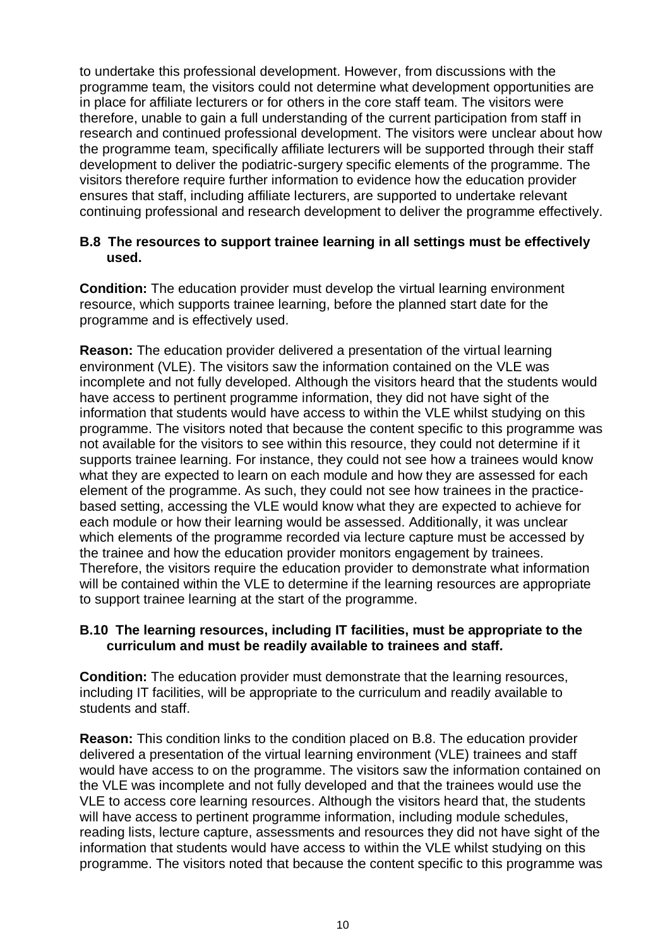to undertake this professional development. However, from discussions with the programme team, the visitors could not determine what development opportunities are in place for affiliate lecturers or for others in the core staff team. The visitors were therefore, unable to gain a full understanding of the current participation from staff in research and continued professional development. The visitors were unclear about how the programme team, specifically affiliate lecturers will be supported through their staff development to deliver the podiatric-surgery specific elements of the programme. The visitors therefore require further information to evidence how the education provider ensures that staff, including affiliate lecturers, are supported to undertake relevant continuing professional and research development to deliver the programme effectively.

## **B.8 The resources to support trainee learning in all settings must be effectively used.**

**Condition:** The education provider must develop the virtual learning environment resource, which supports trainee learning, before the planned start date for the programme and is effectively used.

**Reason:** The education provider delivered a presentation of the virtual learning environment (VLE). The visitors saw the information contained on the VLE was incomplete and not fully developed. Although the visitors heard that the students would have access to pertinent programme information, they did not have sight of the information that students would have access to within the VLE whilst studying on this programme. The visitors noted that because the content specific to this programme was not available for the visitors to see within this resource, they could not determine if it supports trainee learning. For instance, they could not see how a trainees would know what they are expected to learn on each module and how they are assessed for each element of the programme. As such, they could not see how trainees in the practicebased setting, accessing the VLE would know what they are expected to achieve for each module or how their learning would be assessed. Additionally, it was unclear which elements of the programme recorded via lecture capture must be accessed by the trainee and how the education provider monitors engagement by trainees. Therefore, the visitors require the education provider to demonstrate what information will be contained within the VLE to determine if the learning resources are appropriate to support trainee learning at the start of the programme.

#### **B.10 The learning resources, including IT facilities, must be appropriate to the curriculum and must be readily available to trainees and staff.**

**Condition:** The education provider must demonstrate that the learning resources, including IT facilities, will be appropriate to the curriculum and readily available to students and staff.

**Reason:** This condition links to the condition placed on B.8. The education provider delivered a presentation of the virtual learning environment (VLE) trainees and staff would have access to on the programme. The visitors saw the information contained on the VLE was incomplete and not fully developed and that the trainees would use the VLE to access core learning resources. Although the visitors heard that, the students will have access to pertinent programme information, including module schedules, reading lists, lecture capture, assessments and resources they did not have sight of the information that students would have access to within the VLE whilst studying on this programme. The visitors noted that because the content specific to this programme was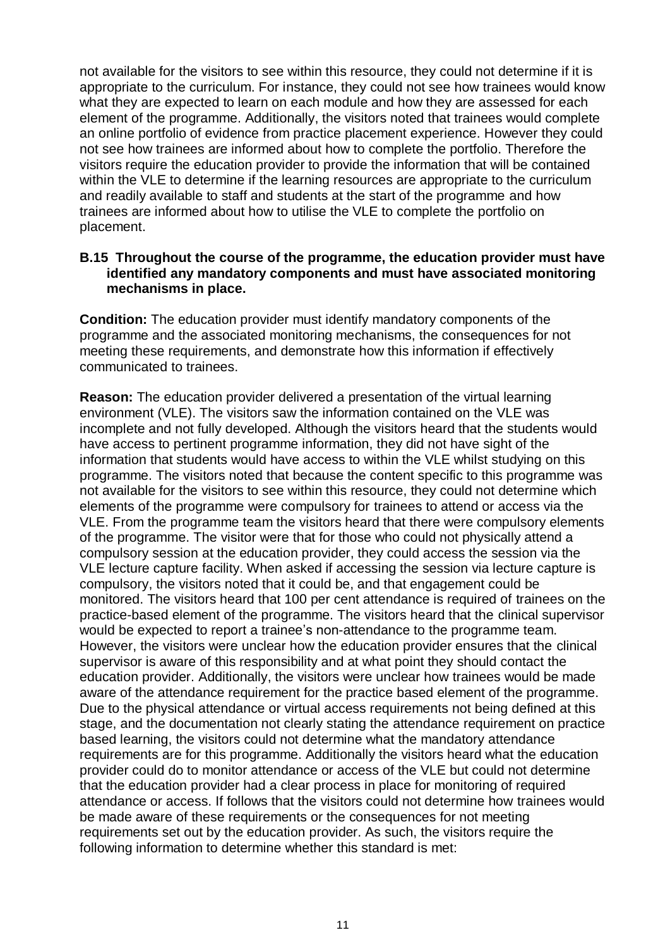not available for the visitors to see within this resource, they could not determine if it is appropriate to the curriculum. For instance, they could not see how trainees would know what they are expected to learn on each module and how they are assessed for each element of the programme. Additionally, the visitors noted that trainees would complete an online portfolio of evidence from practice placement experience. However they could not see how trainees are informed about how to complete the portfolio. Therefore the visitors require the education provider to provide the information that will be contained within the VLE to determine if the learning resources are appropriate to the curriculum and readily available to staff and students at the start of the programme and how trainees are informed about how to utilise the VLE to complete the portfolio on placement.

## **B.15 Throughout the course of the programme, the education provider must have identified any mandatory components and must have associated monitoring mechanisms in place.**

**Condition:** The education provider must identify mandatory components of the programme and the associated monitoring mechanisms, the consequences for not meeting these requirements, and demonstrate how this information if effectively communicated to trainees.

**Reason:** The education provider delivered a presentation of the virtual learning environment (VLE). The visitors saw the information contained on the VLE was incomplete and not fully developed. Although the visitors heard that the students would have access to pertinent programme information, they did not have sight of the information that students would have access to within the VLE whilst studying on this programme. The visitors noted that because the content specific to this programme was not available for the visitors to see within this resource, they could not determine which elements of the programme were compulsory for trainees to attend or access via the VLE. From the programme team the visitors heard that there were compulsory elements of the programme. The visitor were that for those who could not physically attend a compulsory session at the education provider, they could access the session via the VLE lecture capture facility. When asked if accessing the session via lecture capture is compulsory, the visitors noted that it could be, and that engagement could be monitored. The visitors heard that 100 per cent attendance is required of trainees on the practice-based element of the programme. The visitors heard that the clinical supervisor would be expected to report a trainee's non-attendance to the programme team. However, the visitors were unclear how the education provider ensures that the clinical supervisor is aware of this responsibility and at what point they should contact the education provider. Additionally, the visitors were unclear how trainees would be made aware of the attendance requirement for the practice based element of the programme. Due to the physical attendance or virtual access requirements not being defined at this stage, and the documentation not clearly stating the attendance requirement on practice based learning, the visitors could not determine what the mandatory attendance requirements are for this programme. Additionally the visitors heard what the education provider could do to monitor attendance or access of the VLE but could not determine that the education provider had a clear process in place for monitoring of required attendance or access. If follows that the visitors could not determine how trainees would be made aware of these requirements or the consequences for not meeting requirements set out by the education provider. As such, the visitors require the following information to determine whether this standard is met: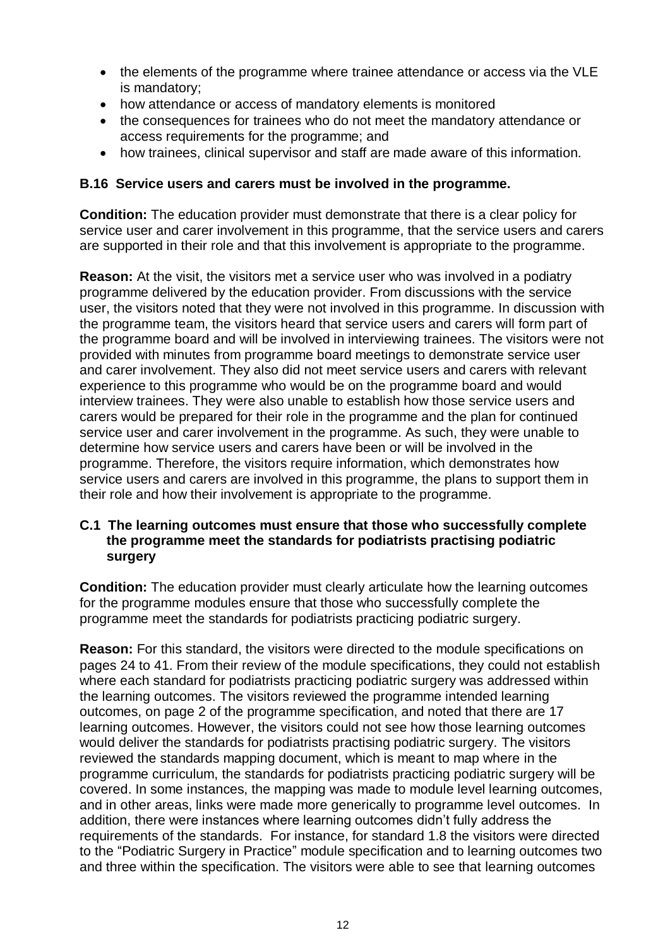- the elements of the programme where trainee attendance or access via the VLE is mandatory;
- how attendance or access of mandatory elements is monitored
- the consequences for trainees who do not meet the mandatory attendance or access requirements for the programme; and
- how trainees, clinical supervisor and staff are made aware of this information.

#### **B.16 Service users and carers must be involved in the programme.**

**Condition:** The education provider must demonstrate that there is a clear policy for service user and carer involvement in this programme, that the service users and carers are supported in their role and that this involvement is appropriate to the programme.

**Reason:** At the visit, the visitors met a service user who was involved in a podiatry programme delivered by the education provider. From discussions with the service user, the visitors noted that they were not involved in this programme. In discussion with the programme team, the visitors heard that service users and carers will form part of the programme board and will be involved in interviewing trainees. The visitors were not provided with minutes from programme board meetings to demonstrate service user and carer involvement. They also did not meet service users and carers with relevant experience to this programme who would be on the programme board and would interview trainees. They were also unable to establish how those service users and carers would be prepared for their role in the programme and the plan for continued service user and carer involvement in the programme. As such, they were unable to determine how service users and carers have been or will be involved in the programme. Therefore, the visitors require information, which demonstrates how service users and carers are involved in this programme, the plans to support them in their role and how their involvement is appropriate to the programme.

## **C.1 The learning outcomes must ensure that those who successfully complete the programme meet the standards for podiatrists practising podiatric surgery**

**Condition:** The education provider must clearly articulate how the learning outcomes for the programme modules ensure that those who successfully complete the programme meet the standards for podiatrists practicing podiatric surgery.

**Reason:** For this standard, the visitors were directed to the module specifications on pages 24 to 41. From their review of the module specifications, they could not establish where each standard for podiatrists practicing podiatric surgery was addressed within the learning outcomes. The visitors reviewed the programme intended learning outcomes, on page 2 of the programme specification, and noted that there are 17 learning outcomes. However, the visitors could not see how those learning outcomes would deliver the standards for podiatrists practising podiatric surgery. The visitors reviewed the standards mapping document, which is meant to map where in the programme curriculum, the standards for podiatrists practicing podiatric surgery will be covered. In some instances, the mapping was made to module level learning outcomes, and in other areas, links were made more generically to programme level outcomes. In addition, there were instances where learning outcomes didn't fully address the requirements of the standards. For instance, for standard 1.8 the visitors were directed to the "Podiatric Surgery in Practice" module specification and to learning outcomes two and three within the specification. The visitors were able to see that learning outcomes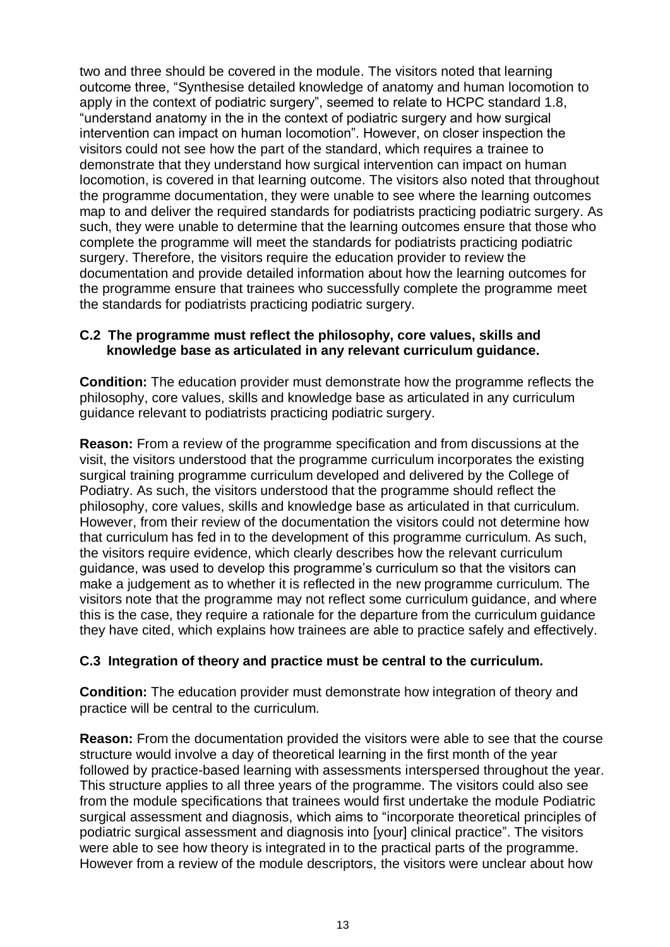two and three should be covered in the module. The visitors noted that learning outcome three, "Synthesise detailed knowledge of anatomy and human locomotion to apply in the context of podiatric surgery", seemed to relate to HCPC standard 1.8, "understand anatomy in the in the context of podiatric surgery and how surgical intervention can impact on human locomotion". However, on closer inspection the visitors could not see how the part of the standard, which requires a trainee to demonstrate that they understand how surgical intervention can impact on human locomotion, is covered in that learning outcome. The visitors also noted that throughout the programme documentation, they were unable to see where the learning outcomes map to and deliver the required standards for podiatrists practicing podiatric surgery. As such, they were unable to determine that the learning outcomes ensure that those who complete the programme will meet the standards for podiatrists practicing podiatric surgery. Therefore, the visitors require the education provider to review the documentation and provide detailed information about how the learning outcomes for the programme ensure that trainees who successfully complete the programme meet the standards for podiatrists practicing podiatric surgery.

#### **C.2 The programme must reflect the philosophy, core values, skills and knowledge base as articulated in any relevant curriculum guidance.**

**Condition:** The education provider must demonstrate how the programme reflects the philosophy, core values, skills and knowledge base as articulated in any curriculum guidance relevant to podiatrists practicing podiatric surgery.

**Reason:** From a review of the programme specification and from discussions at the visit, the visitors understood that the programme curriculum incorporates the existing surgical training programme curriculum developed and delivered by the College of Podiatry. As such, the visitors understood that the programme should reflect the philosophy, core values, skills and knowledge base as articulated in that curriculum. However, from their review of the documentation the visitors could not determine how that curriculum has fed in to the development of this programme curriculum. As such, the visitors require evidence, which clearly describes how the relevant curriculum guidance, was used to develop this programme's curriculum so that the visitors can make a judgement as to whether it is reflected in the new programme curriculum. The visitors note that the programme may not reflect some curriculum guidance, and where this is the case, they require a rationale for the departure from the curriculum guidance they have cited, which explains how trainees are able to practice safely and effectively.

## **C.3 Integration of theory and practice must be central to the curriculum.**

**Condition:** The education provider must demonstrate how integration of theory and practice will be central to the curriculum.

**Reason:** From the documentation provided the visitors were able to see that the course structure would involve a day of theoretical learning in the first month of the year followed by practice-based learning with assessments interspersed throughout the year. This structure applies to all three years of the programme. The visitors could also see from the module specifications that trainees would first undertake the module Podiatric surgical assessment and diagnosis, which aims to "incorporate theoretical principles of podiatric surgical assessment and diagnosis into [your] clinical practice". The visitors were able to see how theory is integrated in to the practical parts of the programme. However from a review of the module descriptors, the visitors were unclear about how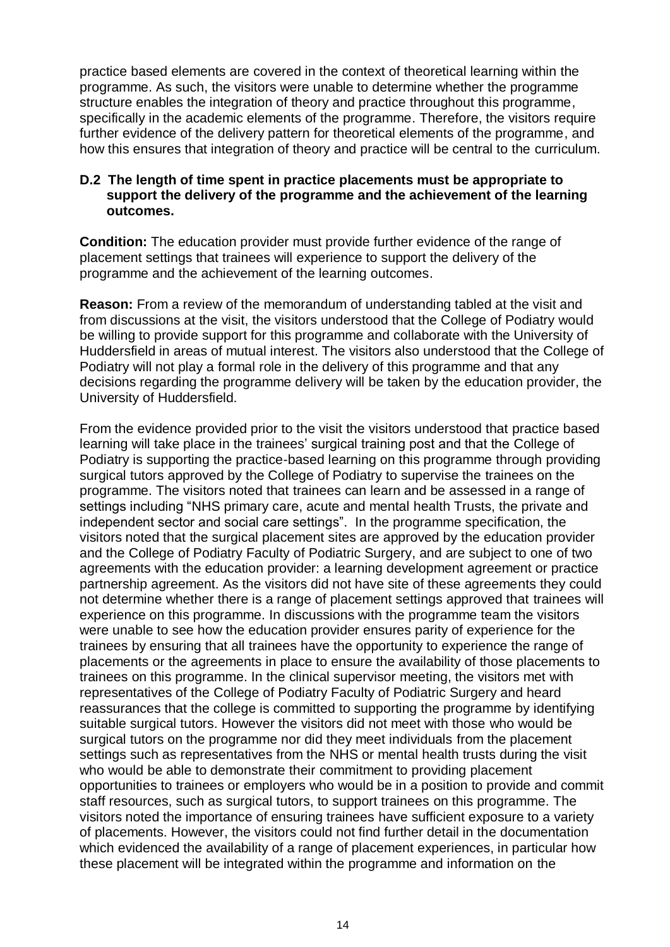practice based elements are covered in the context of theoretical learning within the programme. As such, the visitors were unable to determine whether the programme structure enables the integration of theory and practice throughout this programme, specifically in the academic elements of the programme. Therefore, the visitors require further evidence of the delivery pattern for theoretical elements of the programme, and how this ensures that integration of theory and practice will be central to the curriculum.

## **D.2 The length of time spent in practice placements must be appropriate to support the delivery of the programme and the achievement of the learning outcomes.**

**Condition:** The education provider must provide further evidence of the range of placement settings that trainees will experience to support the delivery of the programme and the achievement of the learning outcomes.

**Reason:** From a review of the memorandum of understanding tabled at the visit and from discussions at the visit, the visitors understood that the College of Podiatry would be willing to provide support for this programme and collaborate with the University of Huddersfield in areas of mutual interest. The visitors also understood that the College of Podiatry will not play a formal role in the delivery of this programme and that any decisions regarding the programme delivery will be taken by the education provider, the University of Huddersfield.

From the evidence provided prior to the visit the visitors understood that practice based learning will take place in the trainees' surgical training post and that the College of Podiatry is supporting the practice-based learning on this programme through providing surgical tutors approved by the College of Podiatry to supervise the trainees on the programme. The visitors noted that trainees can learn and be assessed in a range of settings including "NHS primary care, acute and mental health Trusts, the private and independent sector and social care settings". In the programme specification, the visitors noted that the surgical placement sites are approved by the education provider and the College of Podiatry Faculty of Podiatric Surgery, and are subject to one of two agreements with the education provider: a learning development agreement or practice partnership agreement. As the visitors did not have site of these agreements they could not determine whether there is a range of placement settings approved that trainees will experience on this programme. In discussions with the programme team the visitors were unable to see how the education provider ensures parity of experience for the trainees by ensuring that all trainees have the opportunity to experience the range of placements or the agreements in place to ensure the availability of those placements to trainees on this programme. In the clinical supervisor meeting, the visitors met with representatives of the College of Podiatry Faculty of Podiatric Surgery and heard reassurances that the college is committed to supporting the programme by identifying suitable surgical tutors. However the visitors did not meet with those who would be surgical tutors on the programme nor did they meet individuals from the placement settings such as representatives from the NHS or mental health trusts during the visit who would be able to demonstrate their commitment to providing placement opportunities to trainees or employers who would be in a position to provide and commit staff resources, such as surgical tutors, to support trainees on this programme. The visitors noted the importance of ensuring trainees have sufficient exposure to a variety of placements. However, the visitors could not find further detail in the documentation which evidenced the availability of a range of placement experiences, in particular how these placement will be integrated within the programme and information on the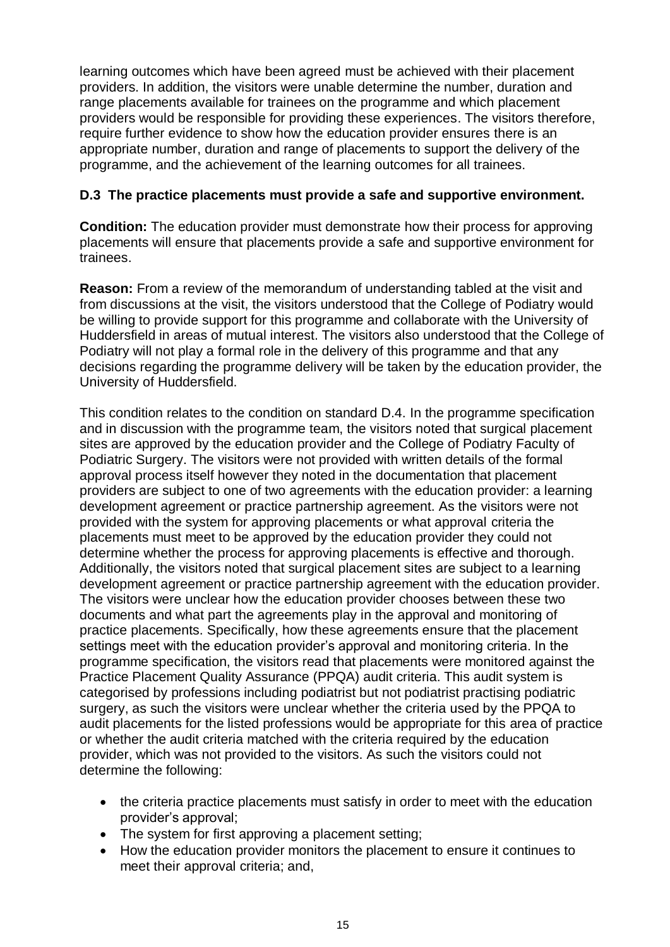learning outcomes which have been agreed must be achieved with their placement providers. In addition, the visitors were unable determine the number, duration and range placements available for trainees on the programme and which placement providers would be responsible for providing these experiences. The visitors therefore, require further evidence to show how the education provider ensures there is an appropriate number, duration and range of placements to support the delivery of the programme, and the achievement of the learning outcomes for all trainees.

## **D.3 The practice placements must provide a safe and supportive environment.**

**Condition:** The education provider must demonstrate how their process for approving placements will ensure that placements provide a safe and supportive environment for trainees.

**Reason:** From a review of the memorandum of understanding tabled at the visit and from discussions at the visit, the visitors understood that the College of Podiatry would be willing to provide support for this programme and collaborate with the University of Huddersfield in areas of mutual interest. The visitors also understood that the College of Podiatry will not play a formal role in the delivery of this programme and that any decisions regarding the programme delivery will be taken by the education provider, the University of Huddersfield.

This condition relates to the condition on standard D.4. In the programme specification and in discussion with the programme team, the visitors noted that surgical placement sites are approved by the education provider and the College of Podiatry Faculty of Podiatric Surgery. The visitors were not provided with written details of the formal approval process itself however they noted in the documentation that placement providers are subject to one of two agreements with the education provider: a learning development agreement or practice partnership agreement. As the visitors were not provided with the system for approving placements or what approval criteria the placements must meet to be approved by the education provider they could not determine whether the process for approving placements is effective and thorough. Additionally, the visitors noted that surgical placement sites are subject to a learning development agreement or practice partnership agreement with the education provider. The visitors were unclear how the education provider chooses between these two documents and what part the agreements play in the approval and monitoring of practice placements. Specifically, how these agreements ensure that the placement settings meet with the education provider's approval and monitoring criteria. In the programme specification, the visitors read that placements were monitored against the Practice Placement Quality Assurance (PPQA) audit criteria. This audit system is categorised by professions including podiatrist but not podiatrist practising podiatric surgery, as such the visitors were unclear whether the criteria used by the PPQA to audit placements for the listed professions would be appropriate for this area of practice or whether the audit criteria matched with the criteria required by the education provider, which was not provided to the visitors. As such the visitors could not determine the following:

- the criteria practice placements must satisfy in order to meet with the education provider's approval;
- The system for first approving a placement setting;
- How the education provider monitors the placement to ensure it continues to meet their approval criteria; and,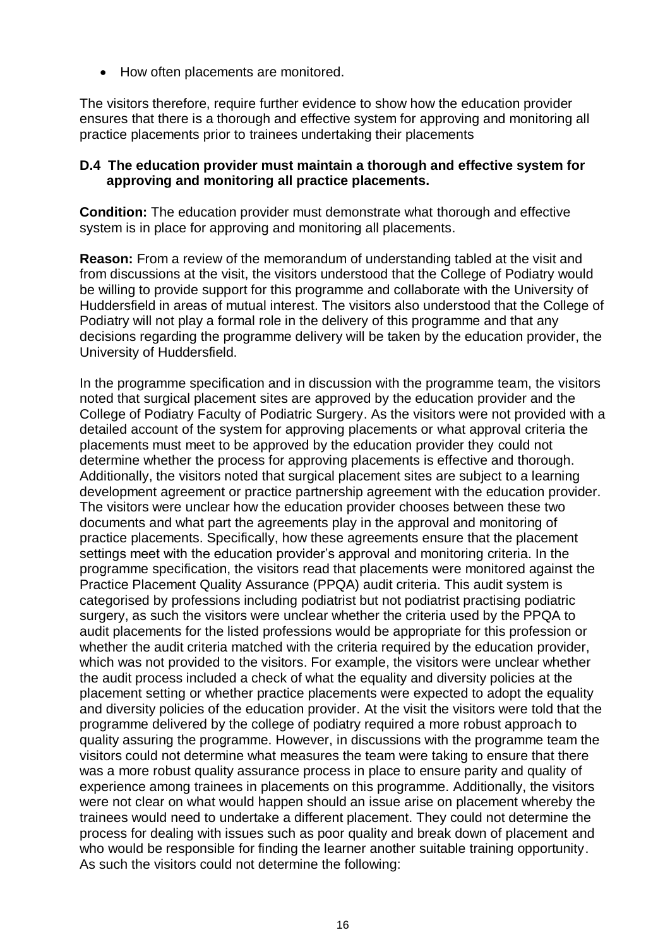• How often placements are monitored.

The visitors therefore, require further evidence to show how the education provider ensures that there is a thorough and effective system for approving and monitoring all practice placements prior to trainees undertaking their placements

## **D.4 The education provider must maintain a thorough and effective system for approving and monitoring all practice placements.**

**Condition:** The education provider must demonstrate what thorough and effective system is in place for approving and monitoring all placements.

**Reason:** From a review of the memorandum of understanding tabled at the visit and from discussions at the visit, the visitors understood that the College of Podiatry would be willing to provide support for this programme and collaborate with the University of Huddersfield in areas of mutual interest. The visitors also understood that the College of Podiatry will not play a formal role in the delivery of this programme and that any decisions regarding the programme delivery will be taken by the education provider, the University of Huddersfield.

In the programme specification and in discussion with the programme team, the visitors noted that surgical placement sites are approved by the education provider and the College of Podiatry Faculty of Podiatric Surgery. As the visitors were not provided with a detailed account of the system for approving placements or what approval criteria the placements must meet to be approved by the education provider they could not determine whether the process for approving placements is effective and thorough. Additionally, the visitors noted that surgical placement sites are subject to a learning development agreement or practice partnership agreement with the education provider. The visitors were unclear how the education provider chooses between these two documents and what part the agreements play in the approval and monitoring of practice placements. Specifically, how these agreements ensure that the placement settings meet with the education provider's approval and monitoring criteria. In the programme specification, the visitors read that placements were monitored against the Practice Placement Quality Assurance (PPQA) audit criteria. This audit system is categorised by professions including podiatrist but not podiatrist practising podiatric surgery, as such the visitors were unclear whether the criteria used by the PPQA to audit placements for the listed professions would be appropriate for this profession or whether the audit criteria matched with the criteria required by the education provider, which was not provided to the visitors. For example, the visitors were unclear whether the audit process included a check of what the equality and diversity policies at the placement setting or whether practice placements were expected to adopt the equality and diversity policies of the education provider. At the visit the visitors were told that the programme delivered by the college of podiatry required a more robust approach to quality assuring the programme. However, in discussions with the programme team the visitors could not determine what measures the team were taking to ensure that there was a more robust quality assurance process in place to ensure parity and quality of experience among trainees in placements on this programme. Additionally, the visitors were not clear on what would happen should an issue arise on placement whereby the trainees would need to undertake a different placement. They could not determine the process for dealing with issues such as poor quality and break down of placement and who would be responsible for finding the learner another suitable training opportunity. As such the visitors could not determine the following: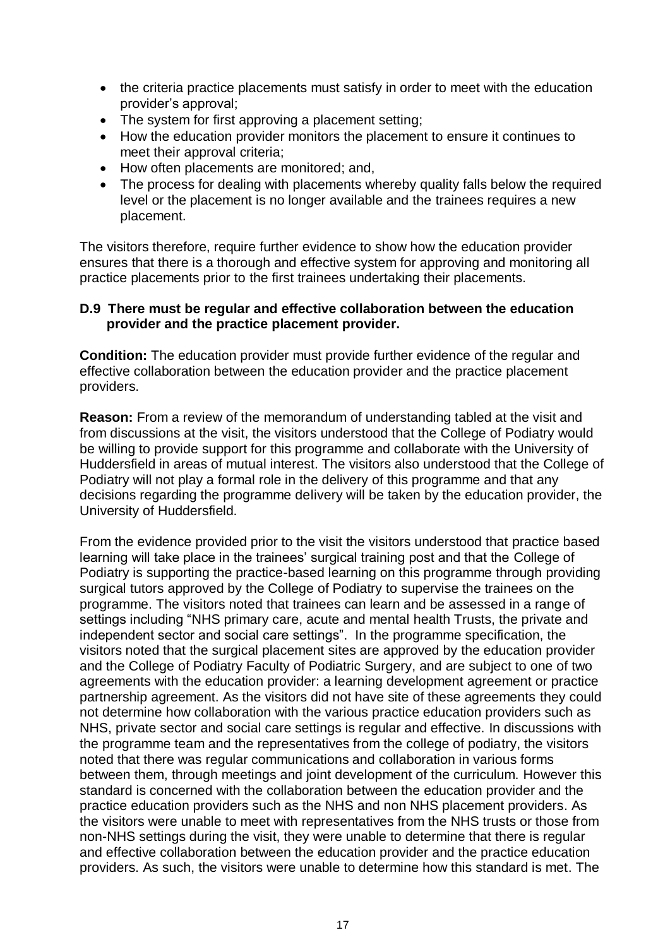- the criteria practice placements must satisfy in order to meet with the education provider's approval;
- The system for first approving a placement setting;
- How the education provider monitors the placement to ensure it continues to meet their approval criteria;
- How often placements are monitored; and,
- The process for dealing with placements whereby quality falls below the required level or the placement is no longer available and the trainees requires a new placement.

The visitors therefore, require further evidence to show how the education provider ensures that there is a thorough and effective system for approving and monitoring all practice placements prior to the first trainees undertaking their placements.

## **D.9 There must be regular and effective collaboration between the education provider and the practice placement provider.**

**Condition:** The education provider must provide further evidence of the regular and effective collaboration between the education provider and the practice placement providers.

**Reason:** From a review of the memorandum of understanding tabled at the visit and from discussions at the visit, the visitors understood that the College of Podiatry would be willing to provide support for this programme and collaborate with the University of Huddersfield in areas of mutual interest. The visitors also understood that the College of Podiatry will not play a formal role in the delivery of this programme and that any decisions regarding the programme delivery will be taken by the education provider, the University of Huddersfield.

From the evidence provided prior to the visit the visitors understood that practice based learning will take place in the trainees' surgical training post and that the College of Podiatry is supporting the practice-based learning on this programme through providing surgical tutors approved by the College of Podiatry to supervise the trainees on the programme. The visitors noted that trainees can learn and be assessed in a range of settings including "NHS primary care, acute and mental health Trusts, the private and independent sector and social care settings". In the programme specification, the visitors noted that the surgical placement sites are approved by the education provider and the College of Podiatry Faculty of Podiatric Surgery, and are subject to one of two agreements with the education provider: a learning development agreement or practice partnership agreement. As the visitors did not have site of these agreements they could not determine how collaboration with the various practice education providers such as NHS, private sector and social care settings is regular and effective. In discussions with the programme team and the representatives from the college of podiatry, the visitors noted that there was regular communications and collaboration in various forms between them, through meetings and joint development of the curriculum. However this standard is concerned with the collaboration between the education provider and the practice education providers such as the NHS and non NHS placement providers. As the visitors were unable to meet with representatives from the NHS trusts or those from non-NHS settings during the visit, they were unable to determine that there is regular and effective collaboration between the education provider and the practice education providers. As such, the visitors were unable to determine how this standard is met. The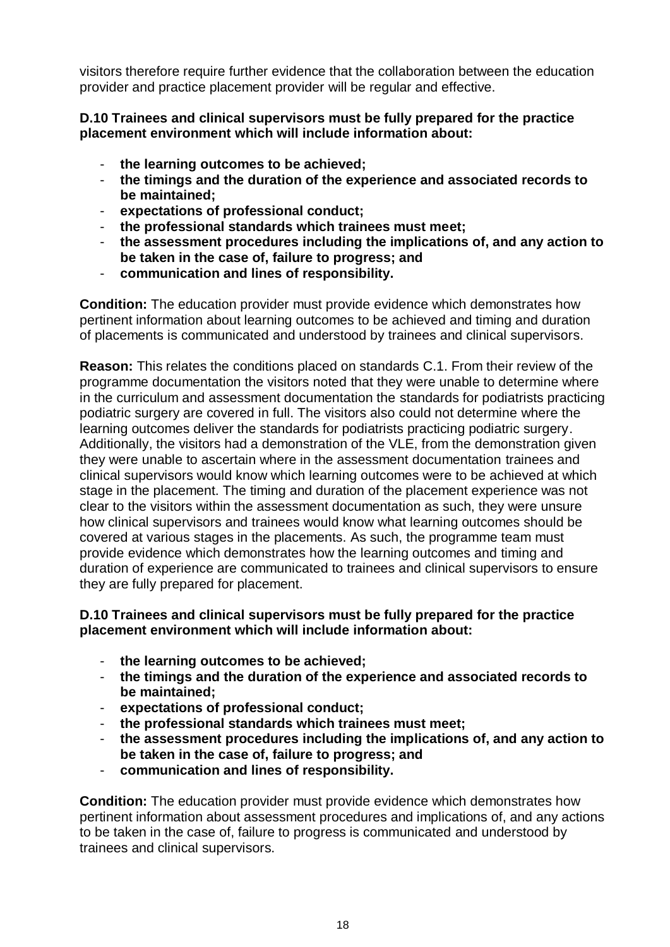visitors therefore require further evidence that the collaboration between the education provider and practice placement provider will be regular and effective.

## **D.10 Trainees and clinical supervisors must be fully prepared for the practice placement environment which will include information about:**

- **the learning outcomes to be achieved;**
- **the timings and the duration of the experience and associated records to be maintained;**
- **expectations of professional conduct;**
- **the professional standards which trainees must meet;**
- **the assessment procedures including the implications of, and any action to be taken in the case of, failure to progress; and**
- **communication and lines of responsibility.**

**Condition:** The education provider must provide evidence which demonstrates how pertinent information about learning outcomes to be achieved and timing and duration of placements is communicated and understood by trainees and clinical supervisors.

**Reason:** This relates the conditions placed on standards C.1. From their review of the programme documentation the visitors noted that they were unable to determine where in the curriculum and assessment documentation the standards for podiatrists practicing podiatric surgery are covered in full. The visitors also could not determine where the learning outcomes deliver the standards for podiatrists practicing podiatric surgery. Additionally, the visitors had a demonstration of the VLE, from the demonstration given they were unable to ascertain where in the assessment documentation trainees and clinical supervisors would know which learning outcomes were to be achieved at which stage in the placement. The timing and duration of the placement experience was not clear to the visitors within the assessment documentation as such, they were unsure how clinical supervisors and trainees would know what learning outcomes should be covered at various stages in the placements. As such, the programme team must provide evidence which demonstrates how the learning outcomes and timing and duration of experience are communicated to trainees and clinical supervisors to ensure they are fully prepared for placement.

## **D.10 Trainees and clinical supervisors must be fully prepared for the practice placement environment which will include information about:**

- **the learning outcomes to be achieved;**
- **the timings and the duration of the experience and associated records to be maintained;**
- **expectations of professional conduct;**
- **the professional standards which trainees must meet;**
- **the assessment procedures including the implications of, and any action to be taken in the case of, failure to progress; and**
- **communication and lines of responsibility.**

**Condition:** The education provider must provide evidence which demonstrates how pertinent information about assessment procedures and implications of, and any actions to be taken in the case of, failure to progress is communicated and understood by trainees and clinical supervisors.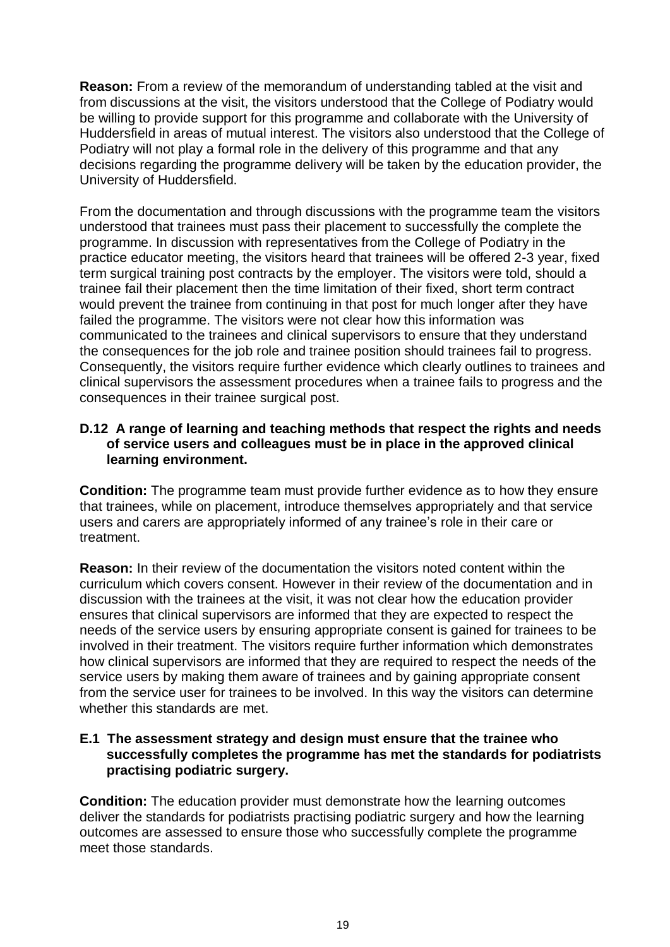**Reason:** From a review of the memorandum of understanding tabled at the visit and from discussions at the visit, the visitors understood that the College of Podiatry would be willing to provide support for this programme and collaborate with the University of Huddersfield in areas of mutual interest. The visitors also understood that the College of Podiatry will not play a formal role in the delivery of this programme and that any decisions regarding the programme delivery will be taken by the education provider, the University of Huddersfield.

From the documentation and through discussions with the programme team the visitors understood that trainees must pass their placement to successfully the complete the programme. In discussion with representatives from the College of Podiatry in the practice educator meeting, the visitors heard that trainees will be offered 2-3 year, fixed term surgical training post contracts by the employer. The visitors were told, should a trainee fail their placement then the time limitation of their fixed, short term contract would prevent the trainee from continuing in that post for much longer after they have failed the programme. The visitors were not clear how this information was communicated to the trainees and clinical supervisors to ensure that they understand the consequences for the job role and trainee position should trainees fail to progress. Consequently, the visitors require further evidence which clearly outlines to trainees and clinical supervisors the assessment procedures when a trainee fails to progress and the consequences in their trainee surgical post.

## **D.12 A range of learning and teaching methods that respect the rights and needs of service users and colleagues must be in place in the approved clinical learning environment.**

**Condition:** The programme team must provide further evidence as to how they ensure that trainees, while on placement, introduce themselves appropriately and that service users and carers are appropriately informed of any trainee's role in their care or treatment.

**Reason:** In their review of the documentation the visitors noted content within the curriculum which covers consent. However in their review of the documentation and in discussion with the trainees at the visit, it was not clear how the education provider ensures that clinical supervisors are informed that they are expected to respect the needs of the service users by ensuring appropriate consent is gained for trainees to be involved in their treatment. The visitors require further information which demonstrates how clinical supervisors are informed that they are required to respect the needs of the service users by making them aware of trainees and by gaining appropriate consent from the service user for trainees to be involved. In this way the visitors can determine whether this standards are met.

## **E.1 The assessment strategy and design must ensure that the trainee who successfully completes the programme has met the standards for podiatrists practising podiatric surgery.**

**Condition:** The education provider must demonstrate how the learning outcomes deliver the standards for podiatrists practising podiatric surgery and how the learning outcomes are assessed to ensure those who successfully complete the programme meet those standards.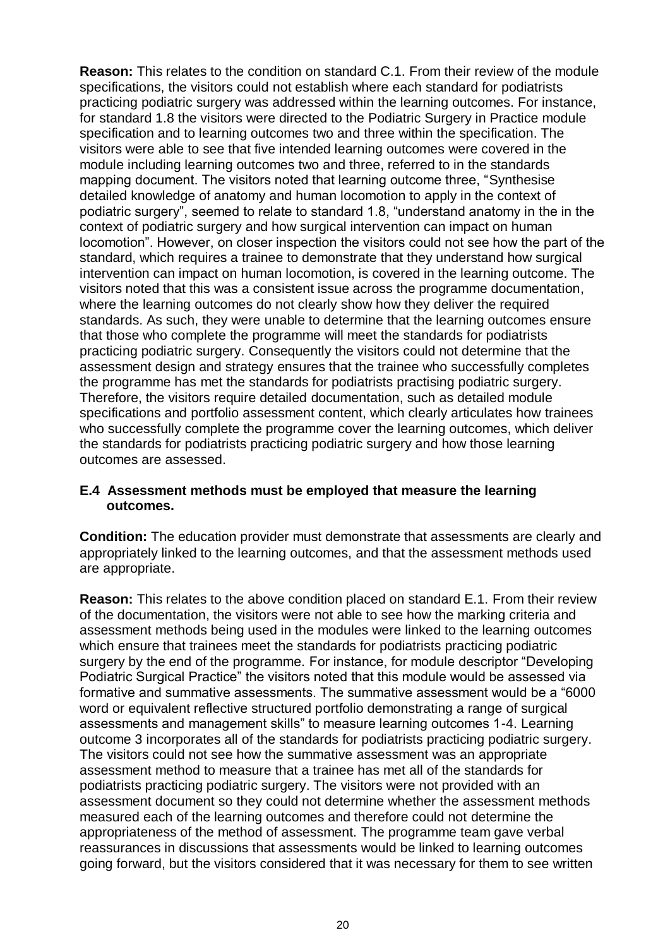**Reason:** This relates to the condition on standard C.1. From their review of the module specifications, the visitors could not establish where each standard for podiatrists practicing podiatric surgery was addressed within the learning outcomes. For instance, for standard 1.8 the visitors were directed to the Podiatric Surgery in Practice module specification and to learning outcomes two and three within the specification. The visitors were able to see that five intended learning outcomes were covered in the module including learning outcomes two and three, referred to in the standards mapping document. The visitors noted that learning outcome three, "Synthesise detailed knowledge of anatomy and human locomotion to apply in the context of podiatric surgery", seemed to relate to standard 1.8, "understand anatomy in the in the context of podiatric surgery and how surgical intervention can impact on human locomotion". However, on closer inspection the visitors could not see how the part of the standard, which requires a trainee to demonstrate that they understand how surgical intervention can impact on human locomotion, is covered in the learning outcome. The visitors noted that this was a consistent issue across the programme documentation, where the learning outcomes do not clearly show how they deliver the required standards. As such, they were unable to determine that the learning outcomes ensure that those who complete the programme will meet the standards for podiatrists practicing podiatric surgery. Consequently the visitors could not determine that the assessment design and strategy ensures that the trainee who successfully completes the programme has met the standards for podiatrists practising podiatric surgery. Therefore, the visitors require detailed documentation, such as detailed module specifications and portfolio assessment content, which clearly articulates how trainees who successfully complete the programme cover the learning outcomes, which deliver the standards for podiatrists practicing podiatric surgery and how those learning outcomes are assessed.

## **E.4 Assessment methods must be employed that measure the learning outcomes.**

**Condition:** The education provider must demonstrate that assessments are clearly and appropriately linked to the learning outcomes, and that the assessment methods used are appropriate.

**Reason:** This relates to the above condition placed on standard E.1. From their review of the documentation, the visitors were not able to see how the marking criteria and assessment methods being used in the modules were linked to the learning outcomes which ensure that trainees meet the standards for podiatrists practicing podiatric surgery by the end of the programme. For instance, for module descriptor "Developing Podiatric Surgical Practice" the visitors noted that this module would be assessed via formative and summative assessments. The summative assessment would be a "6000 word or equivalent reflective structured portfolio demonstrating a range of surgical assessments and management skills" to measure learning outcomes 1-4. Learning outcome 3 incorporates all of the standards for podiatrists practicing podiatric surgery. The visitors could not see how the summative assessment was an appropriate assessment method to measure that a trainee has met all of the standards for podiatrists practicing podiatric surgery. The visitors were not provided with an assessment document so they could not determine whether the assessment methods measured each of the learning outcomes and therefore could not determine the appropriateness of the method of assessment. The programme team gave verbal reassurances in discussions that assessments would be linked to learning outcomes going forward, but the visitors considered that it was necessary for them to see written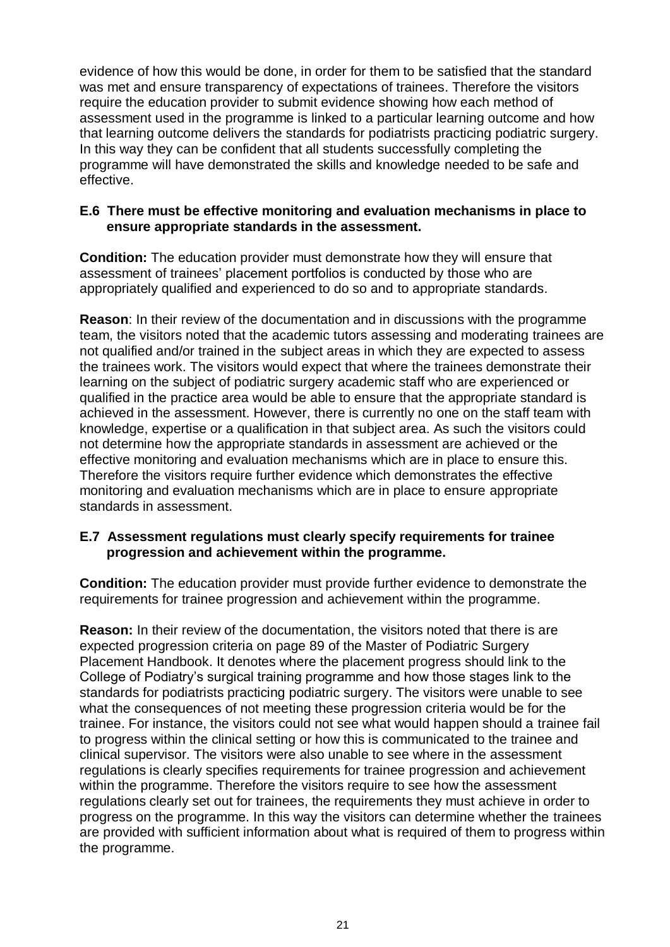evidence of how this would be done, in order for them to be satisfied that the standard was met and ensure transparency of expectations of trainees. Therefore the visitors require the education provider to submit evidence showing how each method of assessment used in the programme is linked to a particular learning outcome and how that learning outcome delivers the standards for podiatrists practicing podiatric surgery. In this way they can be confident that all students successfully completing the programme will have demonstrated the skills and knowledge needed to be safe and effective.

## **E.6 There must be effective monitoring and evaluation mechanisms in place to ensure appropriate standards in the assessment.**

**Condition:** The education provider must demonstrate how they will ensure that assessment of trainees' placement portfolios is conducted by those who are appropriately qualified and experienced to do so and to appropriate standards.

**Reason**: In their review of the documentation and in discussions with the programme team, the visitors noted that the academic tutors assessing and moderating trainees are not qualified and/or trained in the subject areas in which they are expected to assess the trainees work. The visitors would expect that where the trainees demonstrate their learning on the subject of podiatric surgery academic staff who are experienced or qualified in the practice area would be able to ensure that the appropriate standard is achieved in the assessment. However, there is currently no one on the staff team with knowledge, expertise or a qualification in that subject area. As such the visitors could not determine how the appropriate standards in assessment are achieved or the effective monitoring and evaluation mechanisms which are in place to ensure this. Therefore the visitors require further evidence which demonstrates the effective monitoring and evaluation mechanisms which are in place to ensure appropriate standards in assessment.

## **E.7 Assessment regulations must clearly specify requirements for trainee progression and achievement within the programme.**

**Condition:** The education provider must provide further evidence to demonstrate the requirements for trainee progression and achievement within the programme.

**Reason:** In their review of the documentation, the visitors noted that there is are expected progression criteria on page 89 of the Master of Podiatric Surgery Placement Handbook. It denotes where the placement progress should link to the College of Podiatry's surgical training programme and how those stages link to the standards for podiatrists practicing podiatric surgery. The visitors were unable to see what the consequences of not meeting these progression criteria would be for the trainee. For instance, the visitors could not see what would happen should a trainee fail to progress within the clinical setting or how this is communicated to the trainee and clinical supervisor. The visitors were also unable to see where in the assessment regulations is clearly specifies requirements for trainee progression and achievement within the programme. Therefore the visitors require to see how the assessment regulations clearly set out for trainees, the requirements they must achieve in order to progress on the programme. In this way the visitors can determine whether the trainees are provided with sufficient information about what is required of them to progress within the programme.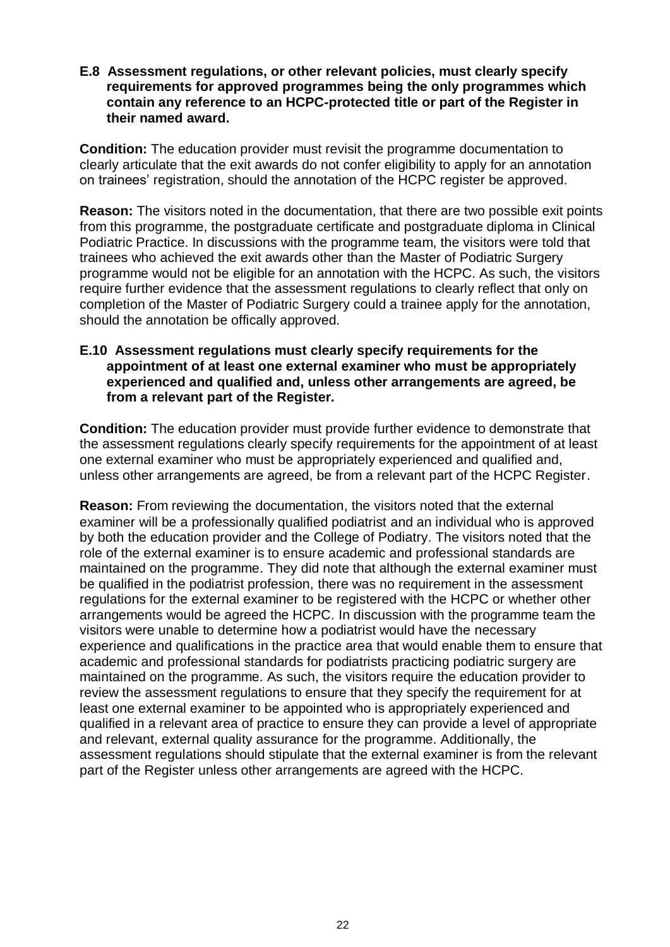**E.8 Assessment regulations, or other relevant policies, must clearly specify requirements for approved programmes being the only programmes which contain any reference to an HCPC-protected title or part of the Register in their named award.**

**Condition:** The education provider must revisit the programme documentation to clearly articulate that the exit awards do not confer eligibility to apply for an annotation on trainees' registration, should the annotation of the HCPC register be approved.

**Reason:** The visitors noted in the documentation, that there are two possible exit points from this programme, the postgraduate certificate and postgraduate diploma in Clinical Podiatric Practice. In discussions with the programme team, the visitors were told that trainees who achieved the exit awards other than the Master of Podiatric Surgery programme would not be eligible for an annotation with the HCPC. As such, the visitors require further evidence that the assessment regulations to clearly reflect that only on completion of the Master of Podiatric Surgery could a trainee apply for the annotation, should the annotation be offically approved.

## **E.10 Assessment regulations must clearly specify requirements for the appointment of at least one external examiner who must be appropriately experienced and qualified and, unless other arrangements are agreed, be from a relevant part of the Register.**

**Condition:** The education provider must provide further evidence to demonstrate that the assessment regulations clearly specify requirements for the appointment of at least one external examiner who must be appropriately experienced and qualified and, unless other arrangements are agreed, be from a relevant part of the HCPC Register.

**Reason:** From reviewing the documentation, the visitors noted that the external examiner will be a professionally qualified podiatrist and an individual who is approved by both the education provider and the College of Podiatry. The visitors noted that the role of the external examiner is to ensure academic and professional standards are maintained on the programme. They did note that although the external examiner must be qualified in the podiatrist profession, there was no requirement in the assessment regulations for the external examiner to be registered with the HCPC or whether other arrangements would be agreed the HCPC. In discussion with the programme team the visitors were unable to determine how a podiatrist would have the necessary experience and qualifications in the practice area that would enable them to ensure that academic and professional standards for podiatrists practicing podiatric surgery are maintained on the programme. As such, the visitors require the education provider to review the assessment regulations to ensure that they specify the requirement for at least one external examiner to be appointed who is appropriately experienced and qualified in a relevant area of practice to ensure they can provide a level of appropriate and relevant, external quality assurance for the programme. Additionally, the assessment regulations should stipulate that the external examiner is from the relevant part of the Register unless other arrangements are agreed with the HCPC.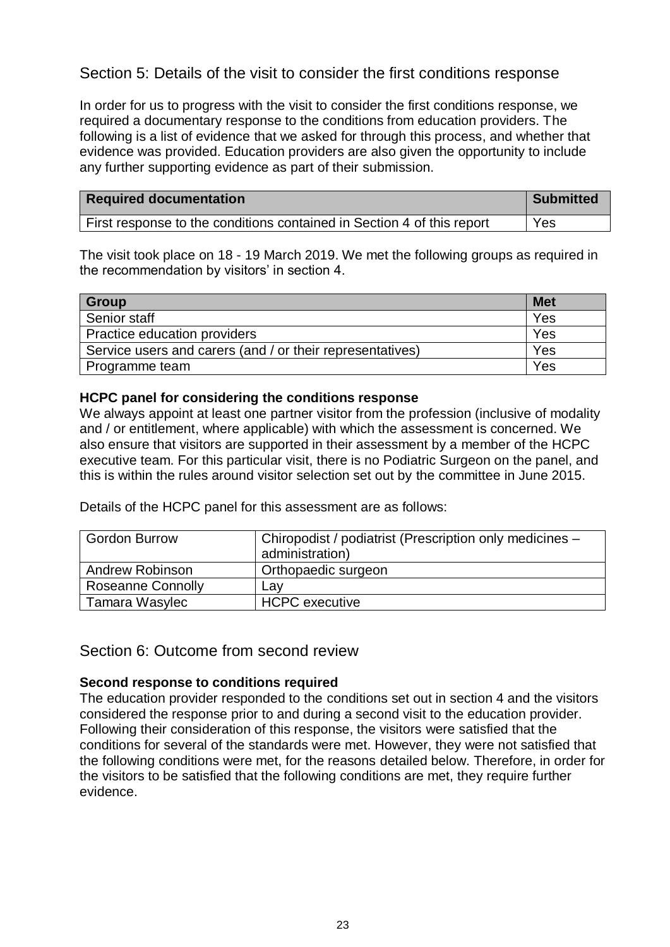# <span id="page-22-0"></span>Section 5: Details of the visit to consider the first conditions response

In order for us to progress with the visit to consider the first conditions response, we required a documentary response to the conditions from education providers. The following is a list of evidence that we asked for through this process, and whether that evidence was provided. Education providers are also given the opportunity to include any further supporting evidence as part of their submission.

| <b>Required documentation</b>                                          | <b>Submitted</b> |
|------------------------------------------------------------------------|------------------|
| First response to the conditions contained in Section 4 of this report | Yes              |

The visit took place on 18 - 19 March 2019. We met the following groups as required in the recommendation by visitors' in section 4.

| <b>Group</b>                                              | <b>Met</b> |
|-----------------------------------------------------------|------------|
| Senior staff                                              | Yes        |
| Practice education providers                              | Yes        |
| Service users and carers (and / or their representatives) | Yes        |
| Programme team                                            | Yes        |

## **HCPC panel for considering the conditions response**

We always appoint at least one partner visitor from the profession (inclusive of modality and / or entitlement, where applicable) with which the assessment is concerned. We also ensure that visitors are supported in their assessment by a member of the HCPC executive team. For this particular visit, there is no Podiatric Surgeon on the panel, and this is within the rules around visitor selection set out by the committee in June 2015.

Details of the HCPC panel for this assessment are as follows:

| <b>Gordon Burrow</b>     | Chiropodist / podiatrist (Prescription only medicines -<br>administration) |
|--------------------------|----------------------------------------------------------------------------|
| <b>Andrew Robinson</b>   | Orthopaedic surgeon                                                        |
| <b>Roseanne Connolly</b> | Lav                                                                        |
| Tamara Wasylec           | <b>HCPC</b> executive                                                      |

<span id="page-22-1"></span>Section 6: Outcome from second review

## **Second response to conditions required**

The education provider responded to the conditions set out in section 4 and the visitors considered the response prior to and during a second visit to the education provider. Following their consideration of this response, the visitors were satisfied that the conditions for several of the standards were met. However, they were not satisfied that the following conditions were met, for the reasons detailed below. Therefore, in order for the visitors to be satisfied that the following conditions are met, they require further evidence.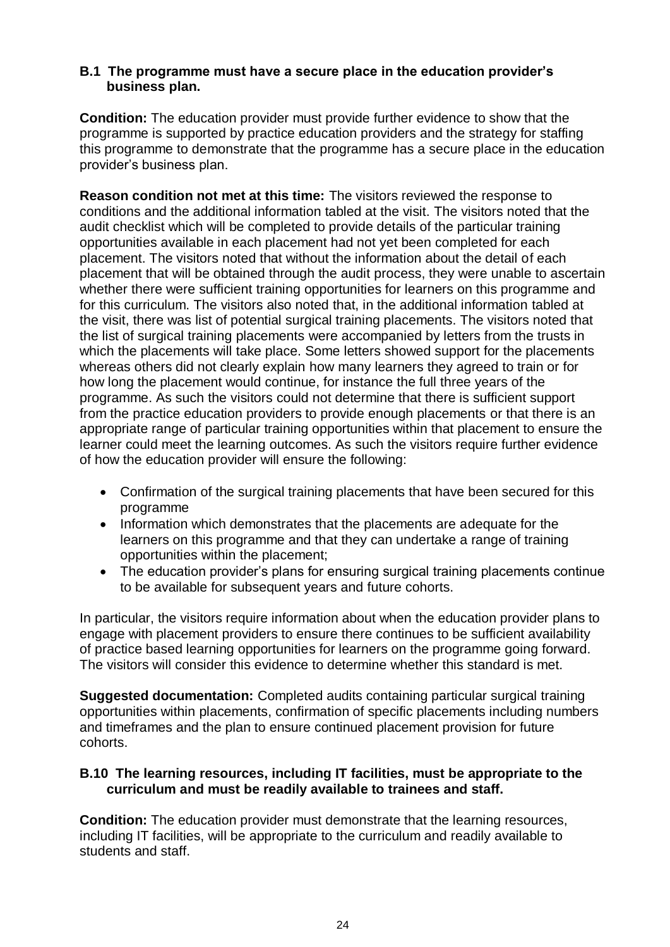## **B.1 The programme must have a secure place in the education provider's business plan.**

**Condition:** The education provider must provide further evidence to show that the programme is supported by practice education providers and the strategy for staffing this programme to demonstrate that the programme has a secure place in the education provider's business plan.

**Reason condition not met at this time:** The visitors reviewed the response to conditions and the additional information tabled at the visit. The visitors noted that the audit checklist which will be completed to provide details of the particular training opportunities available in each placement had not yet been completed for each placement. The visitors noted that without the information about the detail of each placement that will be obtained through the audit process, they were unable to ascertain whether there were sufficient training opportunities for learners on this programme and for this curriculum. The visitors also noted that, in the additional information tabled at the visit, there was list of potential surgical training placements. The visitors noted that the list of surgical training placements were accompanied by letters from the trusts in which the placements will take place. Some letters showed support for the placements whereas others did not clearly explain how many learners they agreed to train or for how long the placement would continue, for instance the full three years of the programme. As such the visitors could not determine that there is sufficient support from the practice education providers to provide enough placements or that there is an appropriate range of particular training opportunities within that placement to ensure the learner could meet the learning outcomes. As such the visitors require further evidence of how the education provider will ensure the following:

- Confirmation of the surgical training placements that have been secured for this programme
- Information which demonstrates that the placements are adequate for the learners on this programme and that they can undertake a range of training opportunities within the placement;
- The education provider's plans for ensuring surgical training placements continue to be available for subsequent years and future cohorts.

In particular, the visitors require information about when the education provider plans to engage with placement providers to ensure there continues to be sufficient availability of practice based learning opportunities for learners on the programme going forward. The visitors will consider this evidence to determine whether this standard is met.

**Suggested documentation:** Completed audits containing particular surgical training opportunities within placements, confirmation of specific placements including numbers and timeframes and the plan to ensure continued placement provision for future cohorts.

## **B.10 The learning resources, including IT facilities, must be appropriate to the curriculum and must be readily available to trainees and staff.**

**Condition:** The education provider must demonstrate that the learning resources, including IT facilities, will be appropriate to the curriculum and readily available to students and staff.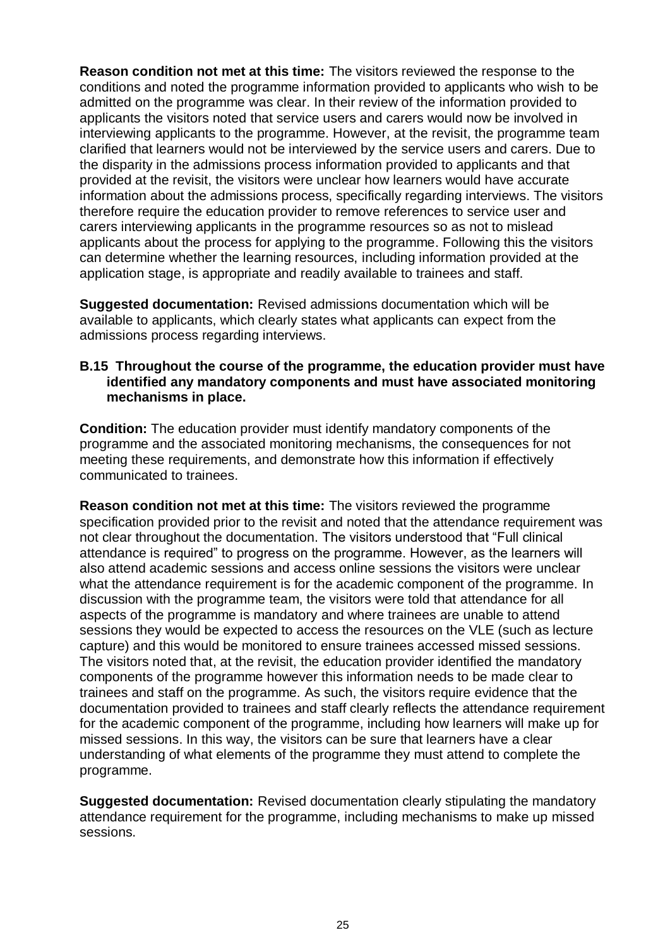**Reason condition not met at this time:** The visitors reviewed the response to the conditions and noted the programme information provided to applicants who wish to be admitted on the programme was clear. In their review of the information provided to applicants the visitors noted that service users and carers would now be involved in interviewing applicants to the programme. However, at the revisit, the programme team clarified that learners would not be interviewed by the service users and carers. Due to the disparity in the admissions process information provided to applicants and that provided at the revisit, the visitors were unclear how learners would have accurate information about the admissions process, specifically regarding interviews. The visitors therefore require the education provider to remove references to service user and carers interviewing applicants in the programme resources so as not to mislead applicants about the process for applying to the programme. Following this the visitors can determine whether the learning resources, including information provided at the application stage, is appropriate and readily available to trainees and staff.

**Suggested documentation:** Revised admissions documentation which will be available to applicants, which clearly states what applicants can expect from the admissions process regarding interviews.

#### **B.15 Throughout the course of the programme, the education provider must have identified any mandatory components and must have associated monitoring mechanisms in place.**

**Condition:** The education provider must identify mandatory components of the programme and the associated monitoring mechanisms, the consequences for not meeting these requirements, and demonstrate how this information if effectively communicated to trainees.

**Reason condition not met at this time:** The visitors reviewed the programme specification provided prior to the revisit and noted that the attendance requirement was not clear throughout the documentation. The visitors understood that "Full clinical attendance is required" to progress on the programme. However, as the learners will also attend academic sessions and access online sessions the visitors were unclear what the attendance requirement is for the academic component of the programme. In discussion with the programme team, the visitors were told that attendance for all aspects of the programme is mandatory and where trainees are unable to attend sessions they would be expected to access the resources on the VLE (such as lecture capture) and this would be monitored to ensure trainees accessed missed sessions. The visitors noted that, at the revisit, the education provider identified the mandatory components of the programme however this information needs to be made clear to trainees and staff on the programme. As such, the visitors require evidence that the documentation provided to trainees and staff clearly reflects the attendance requirement for the academic component of the programme, including how learners will make up for missed sessions. In this way, the visitors can be sure that learners have a clear understanding of what elements of the programme they must attend to complete the programme.

**Suggested documentation:** Revised documentation clearly stipulating the mandatory attendance requirement for the programme, including mechanisms to make up missed sessions.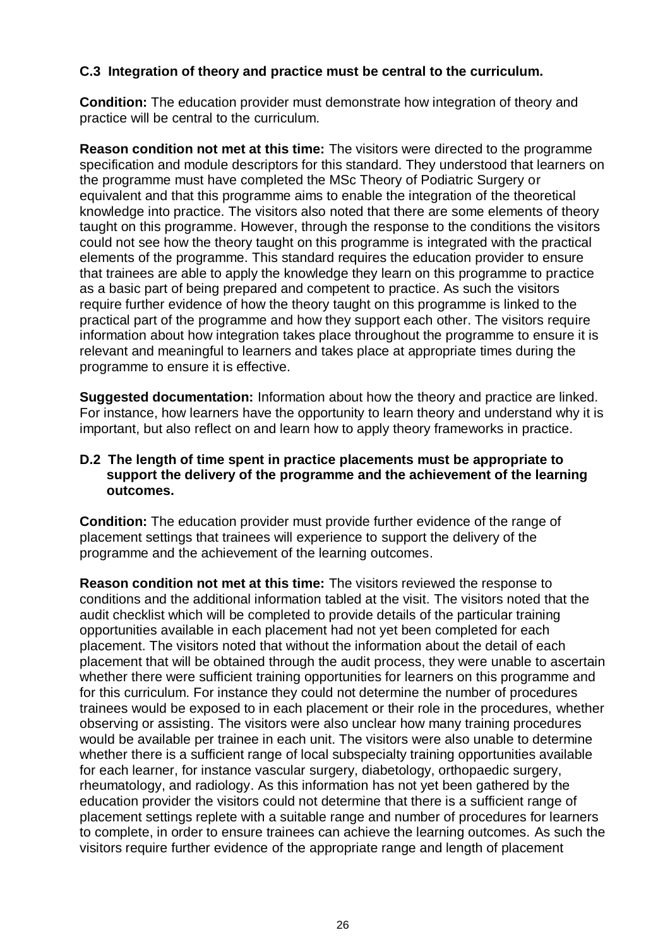## **C.3 Integration of theory and practice must be central to the curriculum.**

**Condition:** The education provider must demonstrate how integration of theory and practice will be central to the curriculum.

**Reason condition not met at this time:** The visitors were directed to the programme specification and module descriptors for this standard. They understood that learners on the programme must have completed the MSc Theory of Podiatric Surgery or equivalent and that this programme aims to enable the integration of the theoretical knowledge into practice. The visitors also noted that there are some elements of theory taught on this programme. However, through the response to the conditions the visitors could not see how the theory taught on this programme is integrated with the practical elements of the programme. This standard requires the education provider to ensure that trainees are able to apply the knowledge they learn on this programme to practice as a basic part of being prepared and competent to practice. As such the visitors require further evidence of how the theory taught on this programme is linked to the practical part of the programme and how they support each other. The visitors require information about how integration takes place throughout the programme to ensure it is relevant and meaningful to learners and takes place at appropriate times during the programme to ensure it is effective.

**Suggested documentation:** Information about how the theory and practice are linked. For instance, how learners have the opportunity to learn theory and understand why it is important, but also reflect on and learn how to apply theory frameworks in practice.

## **D.2 The length of time spent in practice placements must be appropriate to support the delivery of the programme and the achievement of the learning outcomes.**

**Condition:** The education provider must provide further evidence of the range of placement settings that trainees will experience to support the delivery of the programme and the achievement of the learning outcomes.

**Reason condition not met at this time:** The visitors reviewed the response to conditions and the additional information tabled at the visit. The visitors noted that the audit checklist which will be completed to provide details of the particular training opportunities available in each placement had not yet been completed for each placement. The visitors noted that without the information about the detail of each placement that will be obtained through the audit process, they were unable to ascertain whether there were sufficient training opportunities for learners on this programme and for this curriculum. For instance they could not determine the number of procedures trainees would be exposed to in each placement or their role in the procedures, whether observing or assisting. The visitors were also unclear how many training procedures would be available per trainee in each unit. The visitors were also unable to determine whether there is a sufficient range of local subspecialty training opportunities available for each learner, for instance vascular surgery, diabetology, orthopaedic surgery, rheumatology, and radiology. As this information has not yet been gathered by the education provider the visitors could not determine that there is a sufficient range of placement settings replete with a suitable range and number of procedures for learners to complete, in order to ensure trainees can achieve the learning outcomes. As such the visitors require further evidence of the appropriate range and length of placement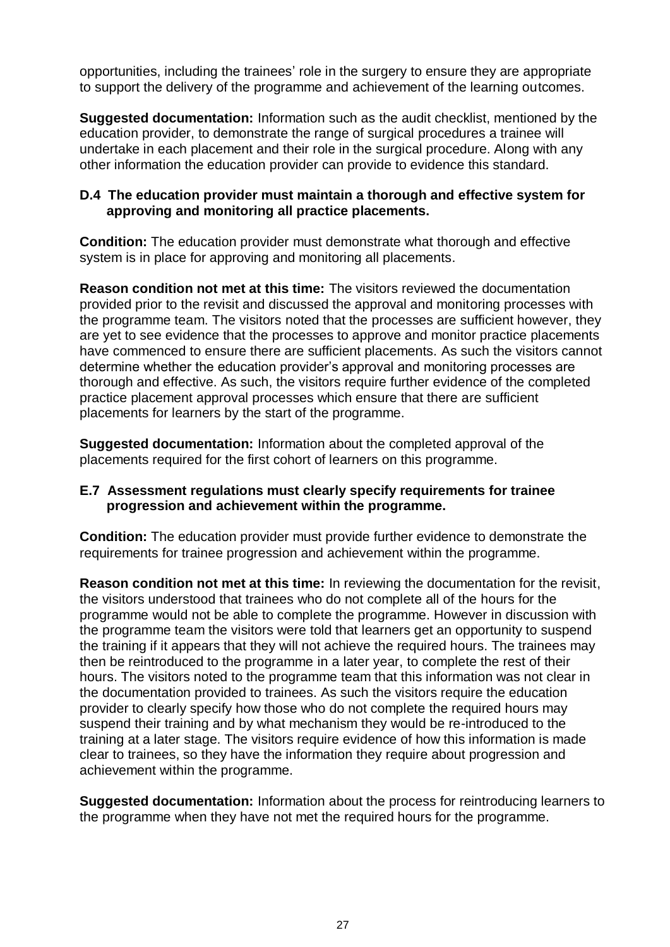opportunities, including the trainees' role in the surgery to ensure they are appropriate to support the delivery of the programme and achievement of the learning outcomes.

**Suggested documentation:** Information such as the audit checklist, mentioned by the education provider, to demonstrate the range of surgical procedures a trainee will undertake in each placement and their role in the surgical procedure. Along with any other information the education provider can provide to evidence this standard.

## **D.4 The education provider must maintain a thorough and effective system for approving and monitoring all practice placements.**

**Condition:** The education provider must demonstrate what thorough and effective system is in place for approving and monitoring all placements.

**Reason condition not met at this time:** The visitors reviewed the documentation provided prior to the revisit and discussed the approval and monitoring processes with the programme team. The visitors noted that the processes are sufficient however, they are yet to see evidence that the processes to approve and monitor practice placements have commenced to ensure there are sufficient placements. As such the visitors cannot determine whether the education provider's approval and monitoring processes are thorough and effective. As such, the visitors require further evidence of the completed practice placement approval processes which ensure that there are sufficient placements for learners by the start of the programme.

**Suggested documentation:** Information about the completed approval of the placements required for the first cohort of learners on this programme.

## **E.7 Assessment regulations must clearly specify requirements for trainee progression and achievement within the programme.**

**Condition:** The education provider must provide further evidence to demonstrate the requirements for trainee progression and achievement within the programme.

**Reason condition not met at this time:** In reviewing the documentation for the revisit, the visitors understood that trainees who do not complete all of the hours for the programme would not be able to complete the programme. However in discussion with the programme team the visitors were told that learners get an opportunity to suspend the training if it appears that they will not achieve the required hours. The trainees may then be reintroduced to the programme in a later year, to complete the rest of their hours. The visitors noted to the programme team that this information was not clear in the documentation provided to trainees. As such the visitors require the education provider to clearly specify how those who do not complete the required hours may suspend their training and by what mechanism they would be re-introduced to the training at a later stage. The visitors require evidence of how this information is made clear to trainees, so they have the information they require about progression and achievement within the programme.

**Suggested documentation:** Information about the process for reintroducing learners to the programme when they have not met the required hours for the programme.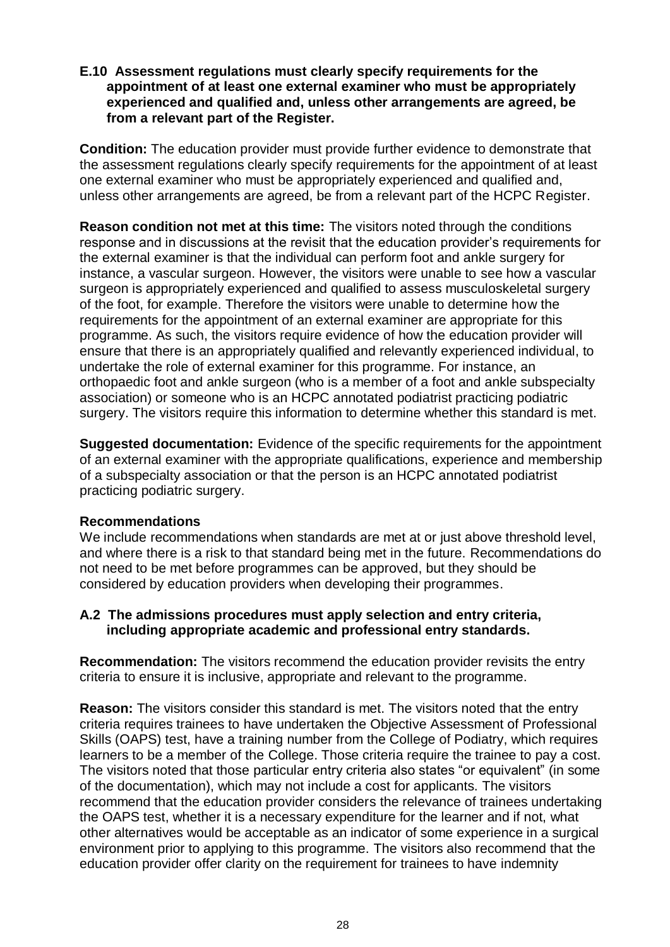## **E.10 Assessment regulations must clearly specify requirements for the appointment of at least one external examiner who must be appropriately experienced and qualified and, unless other arrangements are agreed, be from a relevant part of the Register.**

**Condition:** The education provider must provide further evidence to demonstrate that the assessment regulations clearly specify requirements for the appointment of at least one external examiner who must be appropriately experienced and qualified and, unless other arrangements are agreed, be from a relevant part of the HCPC Register.

**Reason condition not met at this time:** The visitors noted through the conditions response and in discussions at the revisit that the education provider's requirements for the external examiner is that the individual can perform foot and ankle surgery for instance, a vascular surgeon. However, the visitors were unable to see how a vascular surgeon is appropriately experienced and qualified to assess musculoskeletal surgery of the foot, for example. Therefore the visitors were unable to determine how the requirements for the appointment of an external examiner are appropriate for this programme. As such, the visitors require evidence of how the education provider will ensure that there is an appropriately qualified and relevantly experienced individual, to undertake the role of external examiner for this programme. For instance, an orthopaedic foot and ankle surgeon (who is a member of a foot and ankle subspecialty association) or someone who is an HCPC annotated podiatrist practicing podiatric surgery. The visitors require this information to determine whether this standard is met.

**Suggested documentation:** Evidence of the specific requirements for the appointment of an external examiner with the appropriate qualifications, experience and membership of a subspecialty association or that the person is an HCPC annotated podiatrist practicing podiatric surgery.

## **Recommendations**

We include recommendations when standards are met at or just above threshold level, and where there is a risk to that standard being met in the future. Recommendations do not need to be met before programmes can be approved, but they should be considered by education providers when developing their programmes.

## **A.2 The admissions procedures must apply selection and entry criteria, including appropriate academic and professional entry standards.**

**Recommendation:** The visitors recommend the education provider revisits the entry criteria to ensure it is inclusive, appropriate and relevant to the programme.

**Reason:** The visitors consider this standard is met. The visitors noted that the entry criteria requires trainees to have undertaken the Objective Assessment of Professional Skills (OAPS) test, have a training number from the College of Podiatry, which requires learners to be a member of the College. Those criteria require the trainee to pay a cost. The visitors noted that those particular entry criteria also states "or equivalent" (in some of the documentation), which may not include a cost for applicants. The visitors recommend that the education provider considers the relevance of trainees undertaking the OAPS test, whether it is a necessary expenditure for the learner and if not, what other alternatives would be acceptable as an indicator of some experience in a surgical environment prior to applying to this programme. The visitors also recommend that the education provider offer clarity on the requirement for trainees to have indemnity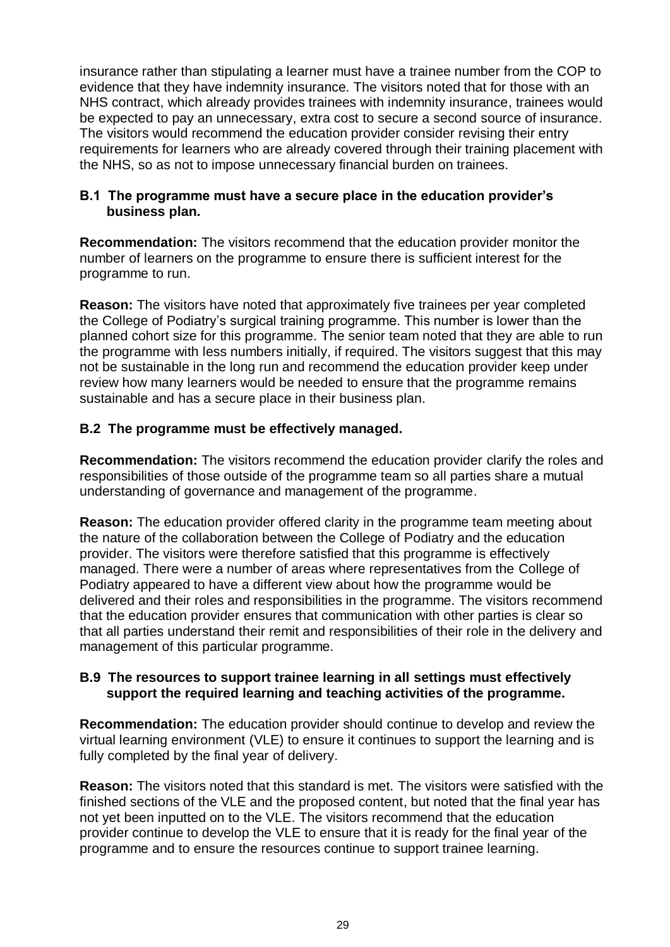insurance rather than stipulating a learner must have a trainee number from the COP to evidence that they have indemnity insurance. The visitors noted that for those with an NHS contract, which already provides trainees with indemnity insurance, trainees would be expected to pay an unnecessary, extra cost to secure a second source of insurance. The visitors would recommend the education provider consider revising their entry requirements for learners who are already covered through their training placement with the NHS, so as not to impose unnecessary financial burden on trainees.

## **B.1 The programme must have a secure place in the education provider's business plan.**

**Recommendation:** The visitors recommend that the education provider monitor the number of learners on the programme to ensure there is sufficient interest for the programme to run.

**Reason:** The visitors have noted that approximately five trainees per year completed the College of Podiatry's surgical training programme. This number is lower than the planned cohort size for this programme. The senior team noted that they are able to run the programme with less numbers initially, if required. The visitors suggest that this may not be sustainable in the long run and recommend the education provider keep under review how many learners would be needed to ensure that the programme remains sustainable and has a secure place in their business plan.

# **B.2 The programme must be effectively managed.**

**Recommendation:** The visitors recommend the education provider clarify the roles and responsibilities of those outside of the programme team so all parties share a mutual understanding of governance and management of the programme.

**Reason:** The education provider offered clarity in the programme team meeting about the nature of the collaboration between the College of Podiatry and the education provider. The visitors were therefore satisfied that this programme is effectively managed. There were a number of areas where representatives from the College of Podiatry appeared to have a different view about how the programme would be delivered and their roles and responsibilities in the programme. The visitors recommend that the education provider ensures that communication with other parties is clear so that all parties understand their remit and responsibilities of their role in the delivery and management of this particular programme.

## **B.9 The resources to support trainee learning in all settings must effectively support the required learning and teaching activities of the programme.**

**Recommendation:** The education provider should continue to develop and review the virtual learning environment (VLE) to ensure it continues to support the learning and is fully completed by the final year of delivery.

**Reason:** The visitors noted that this standard is met. The visitors were satisfied with the finished sections of the VLE and the proposed content, but noted that the final year has not yet been inputted on to the VLE. The visitors recommend that the education provider continue to develop the VLE to ensure that it is ready for the final year of the programme and to ensure the resources continue to support trainee learning.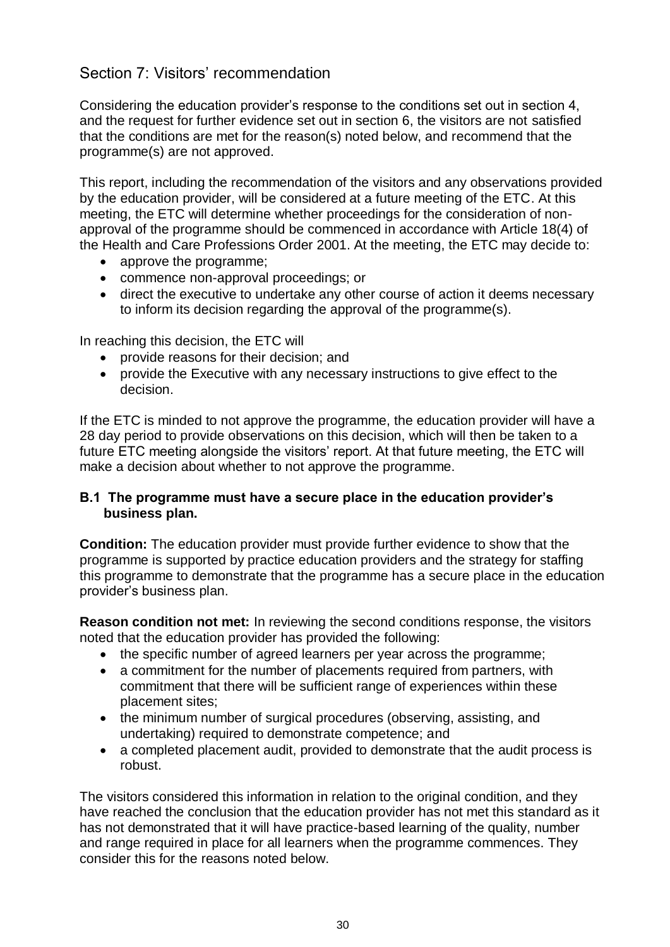# <span id="page-29-0"></span>Section 7: Visitors' recommendation

Considering the education provider's response to the conditions set out in section 4, and the request for further evidence set out in section 6, the visitors are not satisfied that the conditions are met for the reason(s) noted below, and recommend that the programme(s) are not approved.

This report, including the recommendation of the visitors and any observations provided by the education provider, will be considered at a future meeting of the ETC. At this meeting, the ETC will determine whether proceedings for the consideration of nonapproval of the programme should be commenced in accordance with Article 18(4) of the Health and Care Professions Order 2001. At the meeting, the ETC may decide to:

- approve the programme:
- commence non-approval proceedings; or
- direct the executive to undertake any other course of action it deems necessary to inform its decision regarding the approval of the programme(s).

In reaching this decision, the ETC will

- provide reasons for their decision; and
- provide the Executive with any necessary instructions to give effect to the decision.

If the ETC is minded to not approve the programme, the education provider will have a 28 day period to provide observations on this decision, which will then be taken to a future ETC meeting alongside the visitors' report. At that future meeting, the ETC will make a decision about whether to not approve the programme.

## **B.1 The programme must have a secure place in the education provider's business plan.**

**Condition:** The education provider must provide further evidence to show that the programme is supported by practice education providers and the strategy for staffing this programme to demonstrate that the programme has a secure place in the education provider's business plan.

**Reason condition not met:** In reviewing the second conditions response, the visitors noted that the education provider has provided the following:

- the specific number of agreed learners per year across the programme;
- a commitment for the number of placements required from partners, with commitment that there will be sufficient range of experiences within these placement sites;
- the minimum number of surgical procedures (observing, assisting, and undertaking) required to demonstrate competence; and
- a completed placement audit, provided to demonstrate that the audit process is robust.

The visitors considered this information in relation to the original condition, and they have reached the conclusion that the education provider has not met this standard as it has not demonstrated that it will have practice-based learning of the quality, number and range required in place for all learners when the programme commences. They consider this for the reasons noted below.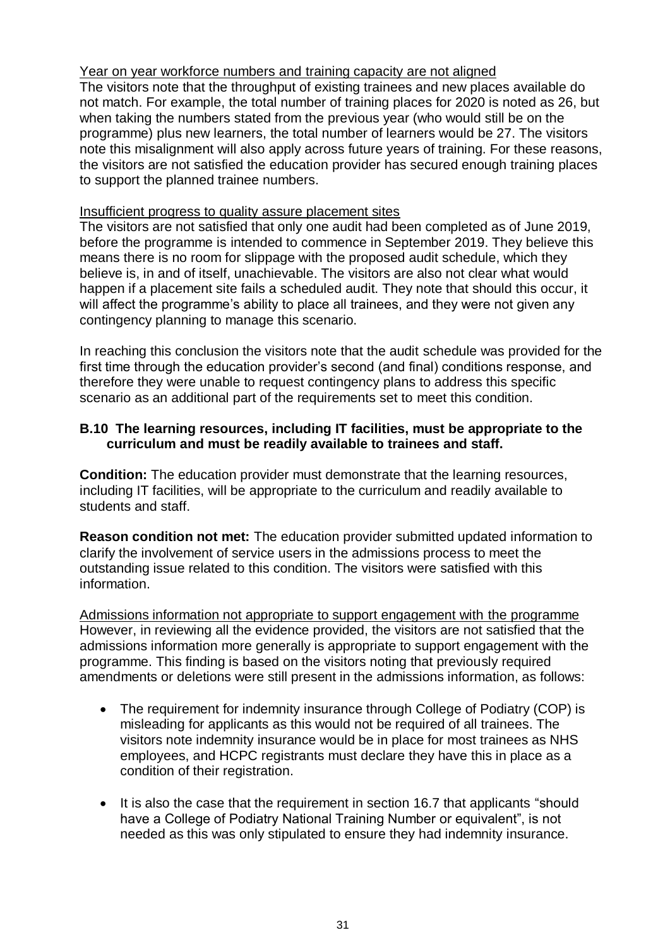## Year on year workforce numbers and training capacity are not aligned

The visitors note that the throughput of existing trainees and new places available do not match. For example, the total number of training places for 2020 is noted as 26, but when taking the numbers stated from the previous year (who would still be on the programme) plus new learners, the total number of learners would be 27. The visitors note this misalignment will also apply across future years of training. For these reasons, the visitors are not satisfied the education provider has secured enough training places to support the planned trainee numbers.

## Insufficient progress to quality assure placement sites

The visitors are not satisfied that only one audit had been completed as of June 2019, before the programme is intended to commence in September 2019. They believe this means there is no room for slippage with the proposed audit schedule, which they believe is, in and of itself, unachievable. The visitors are also not clear what would happen if a placement site fails a scheduled audit. They note that should this occur, it will affect the programme's ability to place all trainees, and they were not given any contingency planning to manage this scenario.

In reaching this conclusion the visitors note that the audit schedule was provided for the first time through the education provider's second (and final) conditions response, and therefore they were unable to request contingency plans to address this specific scenario as an additional part of the requirements set to meet this condition.

## **B.10 The learning resources, including IT facilities, must be appropriate to the curriculum and must be readily available to trainees and staff.**

**Condition:** The education provider must demonstrate that the learning resources, including IT facilities, will be appropriate to the curriculum and readily available to students and staff.

**Reason condition not met:** The education provider submitted updated information to clarify the involvement of service users in the admissions process to meet the outstanding issue related to this condition. The visitors were satisfied with this information.

Admissions information not appropriate to support engagement with the programme However, in reviewing all the evidence provided, the visitors are not satisfied that the admissions information more generally is appropriate to support engagement with the programme. This finding is based on the visitors noting that previously required amendments or deletions were still present in the admissions information, as follows:

- The requirement for indemnity insurance through College of Podiatry (COP) is misleading for applicants as this would not be required of all trainees. The visitors note indemnity insurance would be in place for most trainees as NHS employees, and HCPC registrants must declare they have this in place as a condition of their registration.
- It is also the case that the requirement in section 16.7 that applicants "should have a College of Podiatry National Training Number or equivalent", is not needed as this was only stipulated to ensure they had indemnity insurance.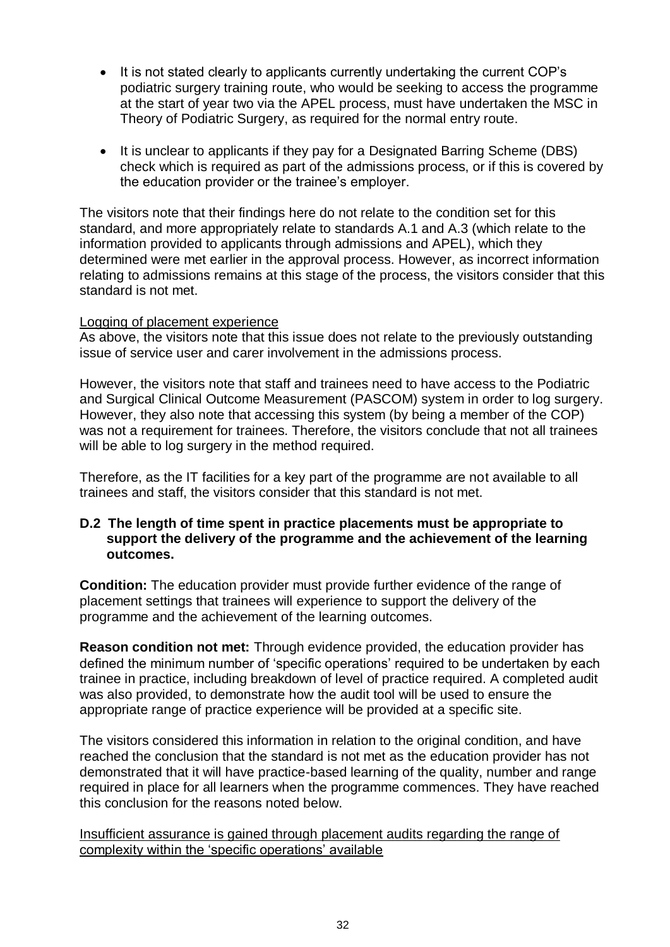- It is not stated clearly to applicants currently undertaking the current COP's podiatric surgery training route, who would be seeking to access the programme at the start of year two via the APEL process, must have undertaken the MSC in Theory of Podiatric Surgery, as required for the normal entry route.
- It is unclear to applicants if they pay for a Designated Barring Scheme (DBS) check which is required as part of the admissions process, or if this is covered by the education provider or the trainee's employer.

The visitors note that their findings here do not relate to the condition set for this standard, and more appropriately relate to standards A.1 and A.3 (which relate to the information provided to applicants through admissions and APEL), which they determined were met earlier in the approval process. However, as incorrect information relating to admissions remains at this stage of the process, the visitors consider that this standard is not met.

## Logging of placement experience

As above, the visitors note that this issue does not relate to the previously outstanding issue of service user and carer involvement in the admissions process.

However, the visitors note that staff and trainees need to have access to the Podiatric and Surgical Clinical Outcome Measurement (PASCOM) system in order to log surgery. However, they also note that accessing this system (by being a member of the COP) was not a requirement for trainees. Therefore, the visitors conclude that not all trainees will be able to log surgery in the method required.

Therefore, as the IT facilities for a key part of the programme are not available to all trainees and staff, the visitors consider that this standard is not met.

## **D.2 The length of time spent in practice placements must be appropriate to support the delivery of the programme and the achievement of the learning outcomes.**

**Condition:** The education provider must provide further evidence of the range of placement settings that trainees will experience to support the delivery of the programme and the achievement of the learning outcomes.

**Reason condition not met:** Through evidence provided, the education provider has defined the minimum number of 'specific operations' required to be undertaken by each trainee in practice, including breakdown of level of practice required. A completed audit was also provided, to demonstrate how the audit tool will be used to ensure the appropriate range of practice experience will be provided at a specific site.

The visitors considered this information in relation to the original condition, and have reached the conclusion that the standard is not met as the education provider has not demonstrated that it will have practice-based learning of the quality, number and range required in place for all learners when the programme commences. They have reached this conclusion for the reasons noted below.

Insufficient assurance is gained through placement audits regarding the range of complexity within the 'specific operations' available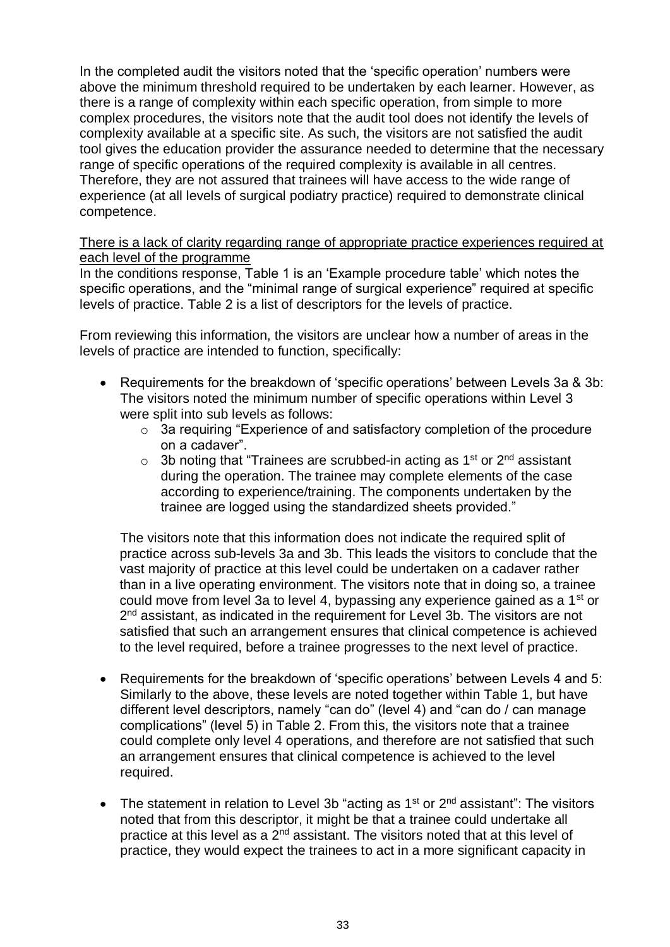In the completed audit the visitors noted that the 'specific operation' numbers were above the minimum threshold required to be undertaken by each learner. However, as there is a range of complexity within each specific operation, from simple to more complex procedures, the visitors note that the audit tool does not identify the levels of complexity available at a specific site. As such, the visitors are not satisfied the audit tool gives the education provider the assurance needed to determine that the necessary range of specific operations of the required complexity is available in all centres. Therefore, they are not assured that trainees will have access to the wide range of experience (at all levels of surgical podiatry practice) required to demonstrate clinical competence.

There is a lack of clarity regarding range of appropriate practice experiences required at each level of the programme

In the conditions response, Table 1 is an 'Example procedure table' which notes the specific operations, and the "minimal range of surgical experience" required at specific levels of practice. Table 2 is a list of descriptors for the levels of practice.

From reviewing this information, the visitors are unclear how a number of areas in the levels of practice are intended to function, specifically:

- Requirements for the breakdown of 'specific operations' between Levels 3a & 3b: The visitors noted the minimum number of specific operations within Level 3 were split into sub levels as follows:
	- o 3a requiring "Experience of and satisfactory completion of the procedure on a cadaver".
	- $\circ$  3b noting that "Trainees are scrubbed-in acting as 1<sup>st</sup> or 2<sup>nd</sup> assistant during the operation. The trainee may complete elements of the case according to experience/training. The components undertaken by the trainee are logged using the standardized sheets provided."

The visitors note that this information does not indicate the required split of practice across sub-levels 3a and 3b. This leads the visitors to conclude that the vast majority of practice at this level could be undertaken on a cadaver rather than in a live operating environment. The visitors note that in doing so, a trainee could move from level 3a to level 4, bypassing any experience gained as a 1<sup>st</sup> or 2<sup>nd</sup> assistant, as indicated in the requirement for Level 3b. The visitors are not satisfied that such an arrangement ensures that clinical competence is achieved to the level required, before a trainee progresses to the next level of practice.

- Requirements for the breakdown of 'specific operations' between Levels 4 and 5: Similarly to the above, these levels are noted together within Table 1, but have different level descriptors, namely "can do" (level 4) and "can do / can manage complications" (level 5) in Table 2. From this, the visitors note that a trainee could complete only level 4 operations, and therefore are not satisfied that such an arrangement ensures that clinical competence is achieved to the level required.
- The statement in relation to Level 3b "acting as  $1<sup>st</sup>$  or  $2<sup>nd</sup>$  assistant": The visitors noted that from this descriptor, it might be that a trainee could undertake all practice at this level as a  $2<sup>nd</sup>$  assistant. The visitors noted that at this level of practice, they would expect the trainees to act in a more significant capacity in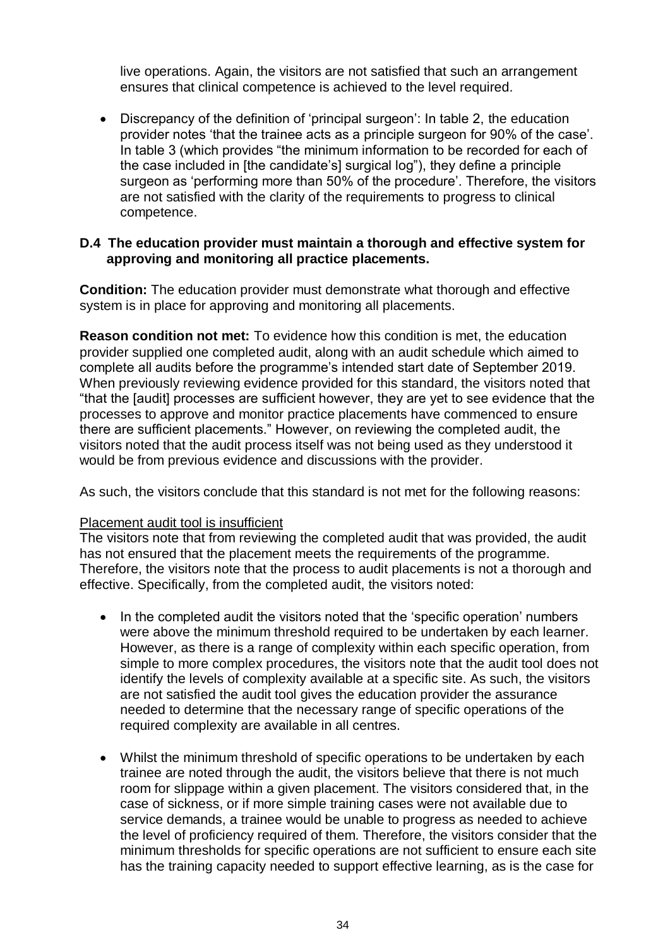live operations. Again, the visitors are not satisfied that such an arrangement ensures that clinical competence is achieved to the level required.

 Discrepancy of the definition of 'principal surgeon': In table 2, the education provider notes 'that the trainee acts as a principle surgeon for 90% of the case'. In table 3 (which provides "the minimum information to be recorded for each of the case included in [the candidate's] surgical log"), they define a principle surgeon as 'performing more than 50% of the procedure'. Therefore, the visitors are not satisfied with the clarity of the requirements to progress to clinical competence.

#### **D.4 The education provider must maintain a thorough and effective system for approving and monitoring all practice placements.**

**Condition:** The education provider must demonstrate what thorough and effective system is in place for approving and monitoring all placements.

**Reason condition not met:** To evidence how this condition is met, the education provider supplied one completed audit, along with an audit schedule which aimed to complete all audits before the programme's intended start date of September 2019. When previously reviewing evidence provided for this standard, the visitors noted that "that the [audit] processes are sufficient however, they are yet to see evidence that the processes to approve and monitor practice placements have commenced to ensure there are sufficient placements." However, on reviewing the completed audit, the visitors noted that the audit process itself was not being used as they understood it would be from previous evidence and discussions with the provider.

As such, the visitors conclude that this standard is not met for the following reasons:

#### Placement audit tool is insufficient

The visitors note that from reviewing the completed audit that was provided, the audit has not ensured that the placement meets the requirements of the programme. Therefore, the visitors note that the process to audit placements is not a thorough and effective. Specifically, from the completed audit, the visitors noted:

- In the completed audit the visitors noted that the 'specific operation' numbers were above the minimum threshold required to be undertaken by each learner. However, as there is a range of complexity within each specific operation, from simple to more complex procedures, the visitors note that the audit tool does not identify the levels of complexity available at a specific site. As such, the visitors are not satisfied the audit tool gives the education provider the assurance needed to determine that the necessary range of specific operations of the required complexity are available in all centres.
- Whilst the minimum threshold of specific operations to be undertaken by each trainee are noted through the audit, the visitors believe that there is not much room for slippage within a given placement. The visitors considered that, in the case of sickness, or if more simple training cases were not available due to service demands, a trainee would be unable to progress as needed to achieve the level of proficiency required of them. Therefore, the visitors consider that the minimum thresholds for specific operations are not sufficient to ensure each site has the training capacity needed to support effective learning, as is the case for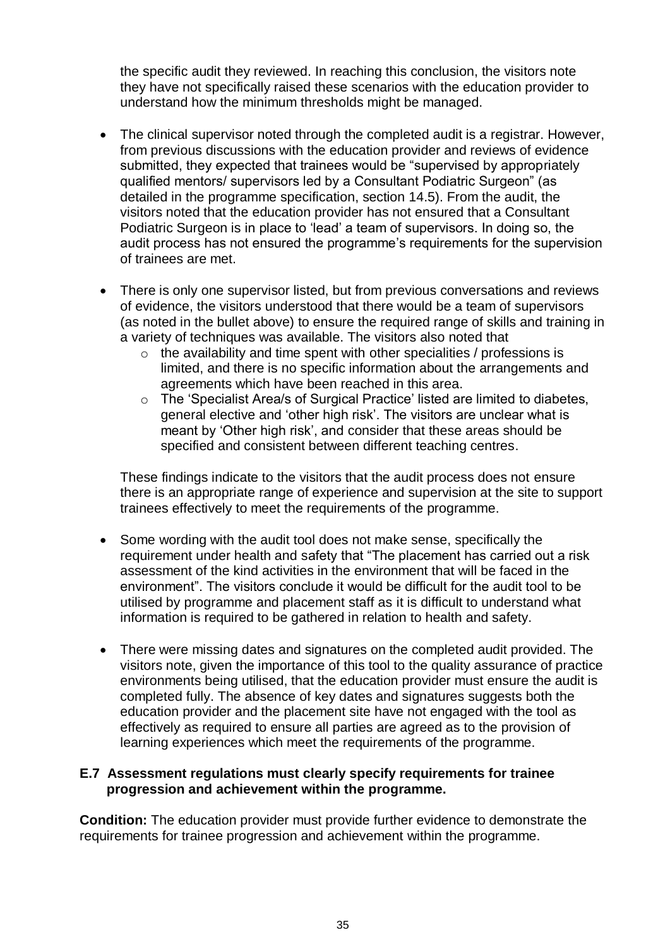the specific audit they reviewed. In reaching this conclusion, the visitors note they have not specifically raised these scenarios with the education provider to understand how the minimum thresholds might be managed.

- The clinical supervisor noted through the completed audit is a registrar. However, from previous discussions with the education provider and reviews of evidence submitted, they expected that trainees would be "supervised by appropriately qualified mentors/ supervisors led by a Consultant Podiatric Surgeon" (as detailed in the programme specification, section 14.5). From the audit, the visitors noted that the education provider has not ensured that a Consultant Podiatric Surgeon is in place to 'lead' a team of supervisors. In doing so, the audit process has not ensured the programme's requirements for the supervision of trainees are met.
- There is only one supervisor listed, but from previous conversations and reviews of evidence, the visitors understood that there would be a team of supervisors (as noted in the bullet above) to ensure the required range of skills and training in a variety of techniques was available. The visitors also noted that
	- $\circ$  the availability and time spent with other specialities / professions is limited, and there is no specific information about the arrangements and agreements which have been reached in this area.
	- o The 'Specialist Area/s of Surgical Practice' listed are limited to diabetes, general elective and 'other high risk'. The visitors are unclear what is meant by 'Other high risk', and consider that these areas should be specified and consistent between different teaching centres.

These findings indicate to the visitors that the audit process does not ensure there is an appropriate range of experience and supervision at the site to support trainees effectively to meet the requirements of the programme.

- Some wording with the audit tool does not make sense, specifically the requirement under health and safety that "The placement has carried out a risk assessment of the kind activities in the environment that will be faced in the environment". The visitors conclude it would be difficult for the audit tool to be utilised by programme and placement staff as it is difficult to understand what information is required to be gathered in relation to health and safety.
- There were missing dates and signatures on the completed audit provided. The visitors note, given the importance of this tool to the quality assurance of practice environments being utilised, that the education provider must ensure the audit is completed fully. The absence of key dates and signatures suggests both the education provider and the placement site have not engaged with the tool as effectively as required to ensure all parties are agreed as to the provision of learning experiences which meet the requirements of the programme.

## **E.7 Assessment regulations must clearly specify requirements for trainee progression and achievement within the programme.**

**Condition:** The education provider must provide further evidence to demonstrate the requirements for trainee progression and achievement within the programme.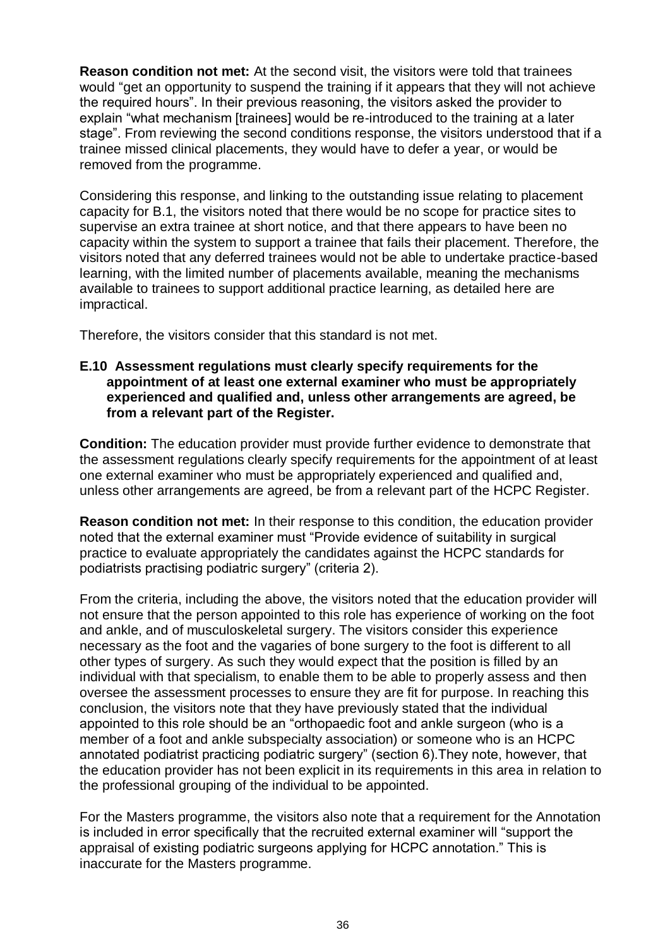**Reason condition not met:** At the second visit, the visitors were told that trainees would "get an opportunity to suspend the training if it appears that they will not achieve the required hours". In their previous reasoning, the visitors asked the provider to explain "what mechanism [trainees] would be re-introduced to the training at a later stage". From reviewing the second conditions response, the visitors understood that if a trainee missed clinical placements, they would have to defer a year, or would be removed from the programme.

Considering this response, and linking to the outstanding issue relating to placement capacity for B.1, the visitors noted that there would be no scope for practice sites to supervise an extra trainee at short notice, and that there appears to have been no capacity within the system to support a trainee that fails their placement. Therefore, the visitors noted that any deferred trainees would not be able to undertake practice-based learning, with the limited number of placements available, meaning the mechanisms available to trainees to support additional practice learning, as detailed here are impractical.

Therefore, the visitors consider that this standard is not met.

## **E.10 Assessment regulations must clearly specify requirements for the appointment of at least one external examiner who must be appropriately experienced and qualified and, unless other arrangements are agreed, be from a relevant part of the Register.**

**Condition:** The education provider must provide further evidence to demonstrate that the assessment regulations clearly specify requirements for the appointment of at least one external examiner who must be appropriately experienced and qualified and, unless other arrangements are agreed, be from a relevant part of the HCPC Register.

**Reason condition not met:** In their response to this condition, the education provider noted that the external examiner must "Provide evidence of suitability in surgical practice to evaluate appropriately the candidates against the HCPC standards for podiatrists practising podiatric surgery" (criteria 2).

From the criteria, including the above, the visitors noted that the education provider will not ensure that the person appointed to this role has experience of working on the foot and ankle, and of musculoskeletal surgery. The visitors consider this experience necessary as the foot and the vagaries of bone surgery to the foot is different to all other types of surgery. As such they would expect that the position is filled by an individual with that specialism, to enable them to be able to properly assess and then oversee the assessment processes to ensure they are fit for purpose. In reaching this conclusion, the visitors note that they have previously stated that the individual appointed to this role should be an "orthopaedic foot and ankle surgeon (who is a member of a foot and ankle subspecialty association) or someone who is an HCPC annotated podiatrist practicing podiatric surgery" (section 6).They note, however, that the education provider has not been explicit in its requirements in this area in relation to the professional grouping of the individual to be appointed.

For the Masters programme, the visitors also note that a requirement for the Annotation is included in error specifically that the recruited external examiner will "support the appraisal of existing podiatric surgeons applying for HCPC annotation." This is inaccurate for the Masters programme.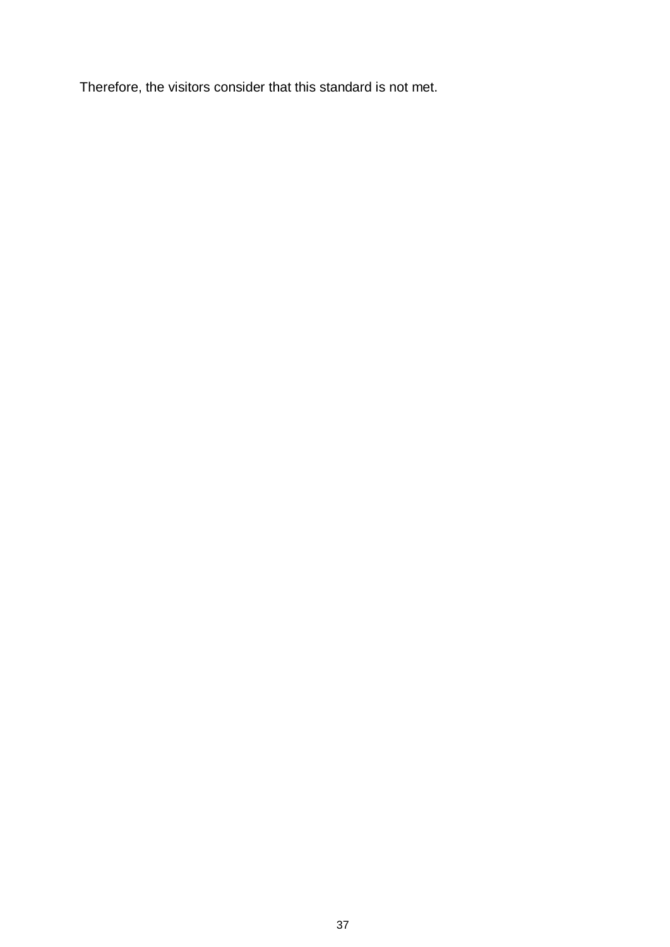Therefore, the visitors consider that this standard is not met.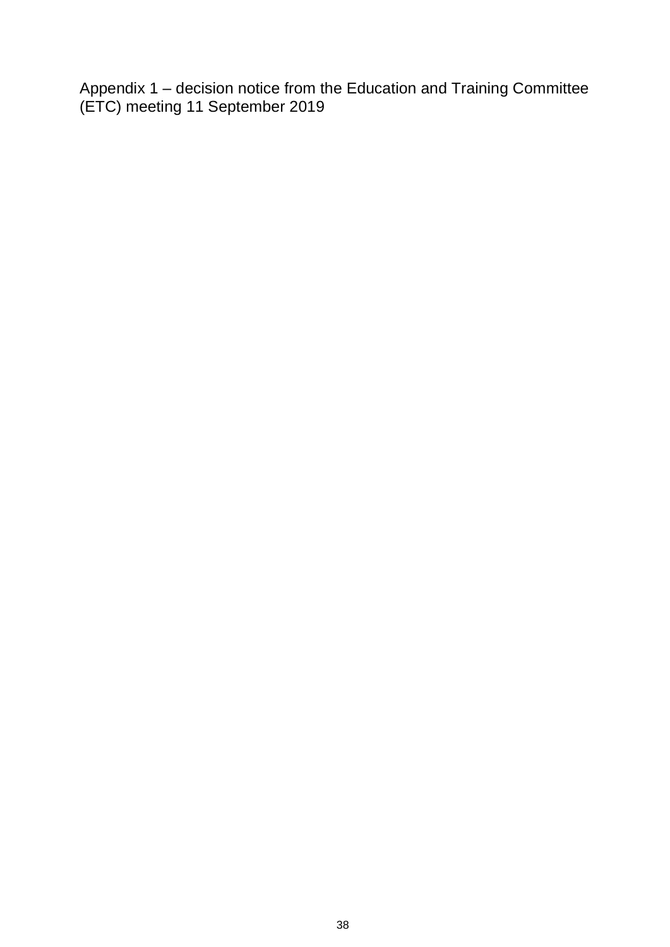<span id="page-37-0"></span>Appendix 1 – decision notice from the Education and Training Committee (ETC) meeting 11 September 2019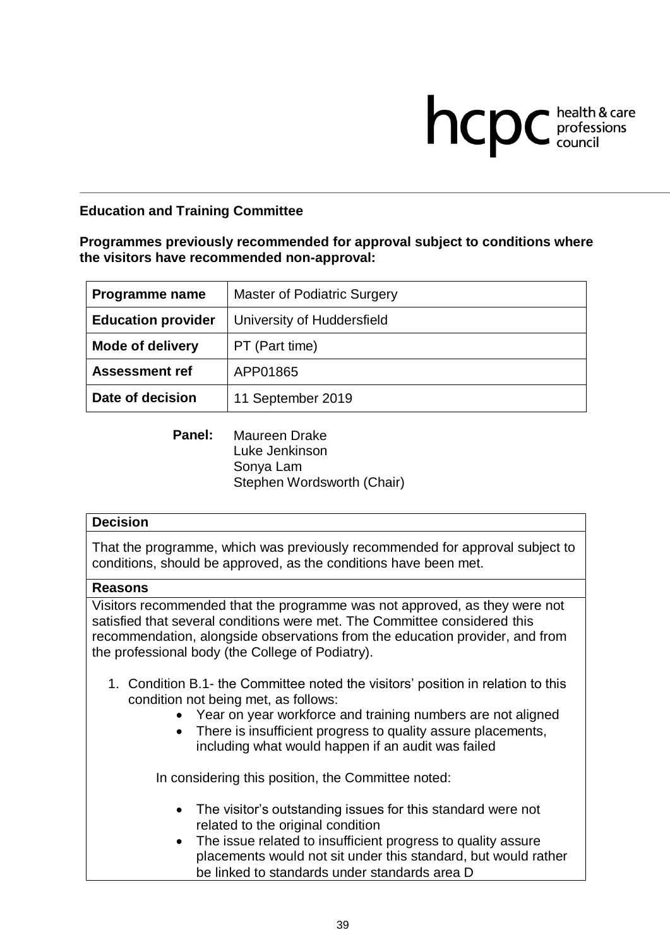# **health & care**

## **Education and Training Committee**

#### **Programmes previously recommended for approval subject to conditions where the visitors have recommended non-approval:**

| Programme name            | Master of Podiatric Surgery |
|---------------------------|-----------------------------|
| <b>Education provider</b> | University of Huddersfield  |
| <b>Mode of delivery</b>   | PT (Part time)              |
| <b>Assessment ref</b>     | APP01865                    |
| Date of decision          | 11 September 2019           |

**Panel:** Maureen Drake Luke Jenkinson Sonya Lam Stephen Wordsworth (Chair)

#### **Decision**

That the programme, which was previously recommended for approval subject to conditions, should be approved, as the conditions have been met.

#### **Reasons**

Visitors recommended that the programme was not approved, as they were not satisfied that several conditions were met. The Committee considered this recommendation, alongside observations from the education provider, and from the professional body (the College of Podiatry).

- 1. Condition B.1- the Committee noted the visitors' position in relation to this condition not being met, as follows:
	- Year on year workforce and training numbers are not aligned
	- There is insufficient progress to quality assure placements, including what would happen if an audit was failed

In considering this position, the Committee noted:

- The visitor's outstanding issues for this standard were not related to the original condition
- The issue related to insufficient progress to quality assure placements would not sit under this standard, but would rather be linked to standards under standards area D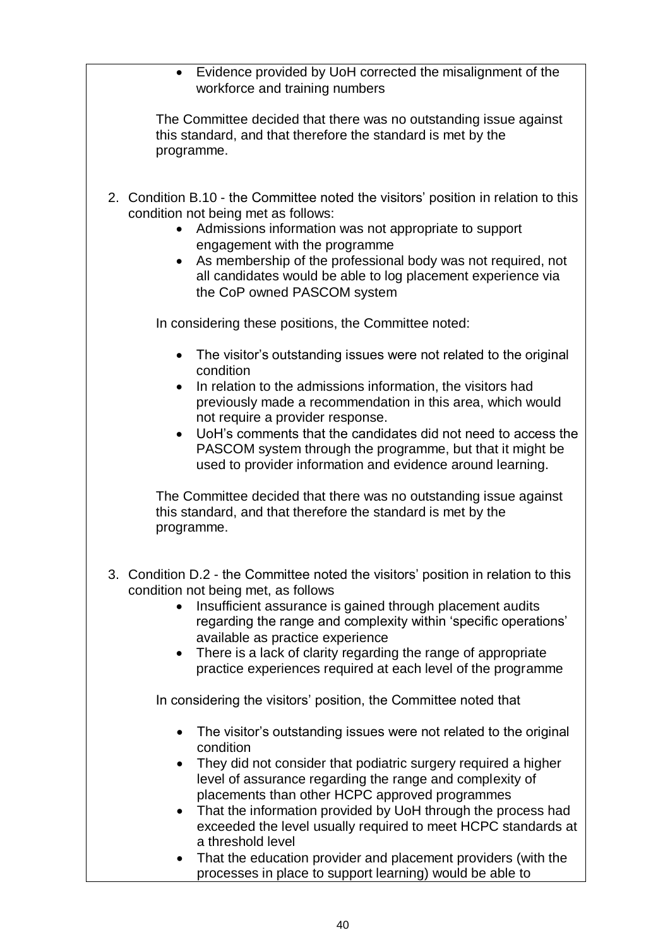Evidence provided by UoH corrected the misalignment of the workforce and training numbers

The Committee decided that there was no outstanding issue against this standard, and that therefore the standard is met by the programme.

- 2. Condition B.10 the Committee noted the visitors' position in relation to this condition not being met as follows:
	- Admissions information was not appropriate to support engagement with the programme
	- As membership of the professional body was not required, not all candidates would be able to log placement experience via the CoP owned PASCOM system

In considering these positions, the Committee noted:

- The visitor's outstanding issues were not related to the original condition
- In relation to the admissions information, the visitors had previously made a recommendation in this area, which would not require a provider response.
- UoH's comments that the candidates did not need to access the PASCOM system through the programme, but that it might be used to provider information and evidence around learning.

The Committee decided that there was no outstanding issue against this standard, and that therefore the standard is met by the programme.

- 3. Condition D.2 the Committee noted the visitors' position in relation to this condition not being met, as follows
	- Insufficient assurance is gained through placement audits regarding the range and complexity within 'specific operations' available as practice experience
	- There is a lack of clarity regarding the range of appropriate practice experiences required at each level of the programme

In considering the visitors' position, the Committee noted that

- The visitor's outstanding issues were not related to the original condition
- They did not consider that podiatric surgery required a higher level of assurance regarding the range and complexity of placements than other HCPC approved programmes
- That the information provided by UoH through the process had exceeded the level usually required to meet HCPC standards at a threshold level
- That the education provider and placement providers (with the processes in place to support learning) would be able to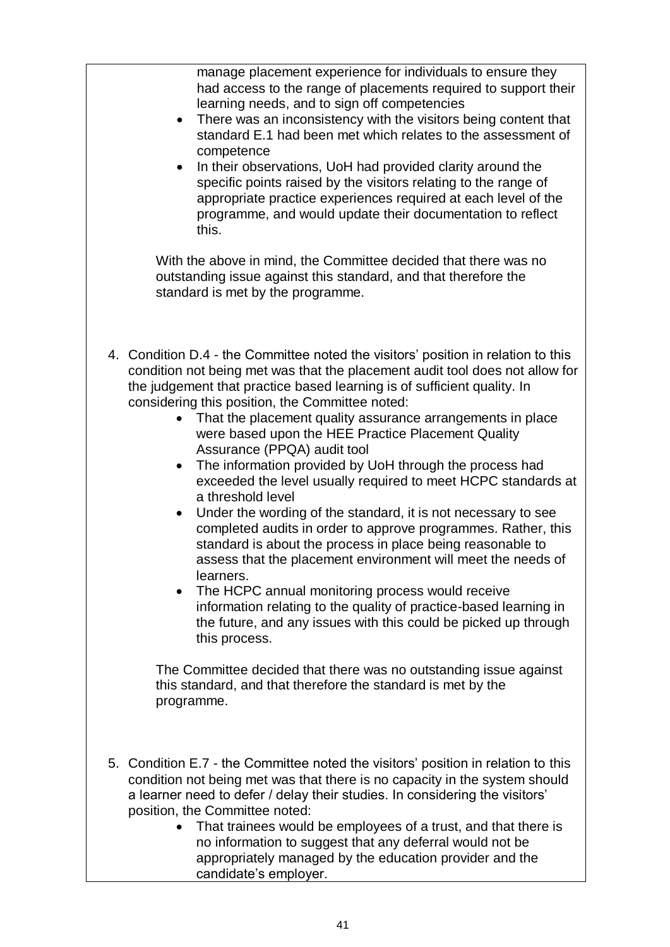manage placement experience for individuals to ensure they had access to the range of placements required to support their learning needs, and to sign off competencies

- There was an inconsistency with the visitors being content that standard E.1 had been met which relates to the assessment of competence
- In their observations, UoH had provided clarity around the specific points raised by the visitors relating to the range of appropriate practice experiences required at each level of the programme, and would update their documentation to reflect this.

With the above in mind, the Committee decided that there was no outstanding issue against this standard, and that therefore the standard is met by the programme.

- 4. Condition D.4 the Committee noted the visitors' position in relation to this condition not being met was that the placement audit tool does not allow for the judgement that practice based learning is of sufficient quality. In considering this position, the Committee noted:
	- That the placement quality assurance arrangements in place were based upon the HEE Practice Placement Quality Assurance (PPQA) audit tool
	- The information provided by UoH through the process had exceeded the level usually required to meet HCPC standards at a threshold level
	- Under the wording of the standard, it is not necessary to see completed audits in order to approve programmes. Rather, this standard is about the process in place being reasonable to assess that the placement environment will meet the needs of learners.
	- The HCPC annual monitoring process would receive information relating to the quality of practice-based learning in the future, and any issues with this could be picked up through this process.

The Committee decided that there was no outstanding issue against this standard, and that therefore the standard is met by the programme.

- 5. Condition E.7 the Committee noted the visitors' position in relation to this condition not being met was that there is no capacity in the system should a learner need to defer / delay their studies. In considering the visitors' position, the Committee noted:
	- That trainees would be employees of a trust, and that there is no information to suggest that any deferral would not be appropriately managed by the education provider and the candidate's employer.